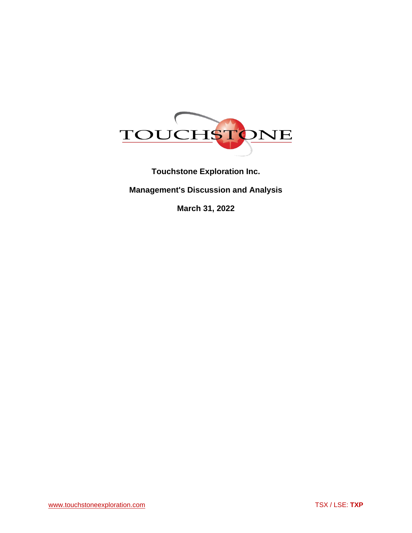

**Touchstone Exploration Inc.**

**Management's Discussion and Analysis**

**March 31, 2022**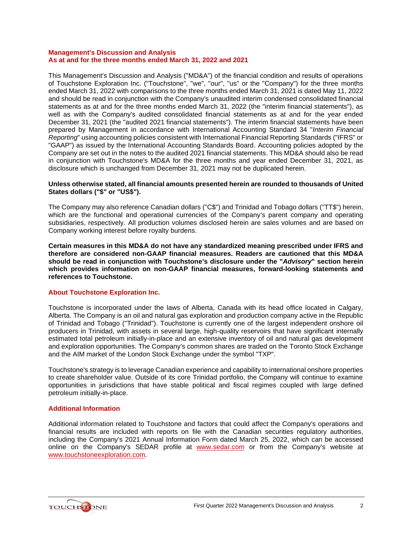### **Management's Discussion and Analysis As at and for the three months ended March 31, 2022 and 2021**

This Management's Discussion and Analysis ("MD&A") of the financial condition and results of operations of Touchstone Exploration Inc. ("Touchstone", "we", "our", "us" or the "Company") for the three months ended March 31, 2022 with comparisons to the three months ended March 31, 2021 is dated May 11, 2022 and should be read in conjunction with the Company's unaudited interim condensed consolidated financial statements as at and for the three months ended March 31, 2022 (the "interim financial statements"), as well as with the Company's audited consolidated financial statements as at and for the year ended December 31, 2021 (the "audited 2021 financial statements"). The interim financial statements have been prepared by Management in accordance with International Accounting Standard 34 "*Interim Financial Reporting*" using accounting policies consistent with International Financial Reporting Standards ("IFRS" or "GAAP") as issued by the International Accounting Standards Board. Accounting policies adopted by the Company are set out in the notes to the audited 2021 financial statements. This MD&A should also be read in conjunction with Touchstone's MD&A for the three months and year ended December 31, 2021, as disclosure which is unchanged from December 31, 2021 may not be duplicated herein.

# **Unless otherwise stated, all financial amounts presented herein are rounded to thousands of United States dollars ("\$" or "US\$").**

The Company may also reference Canadian dollars ("C\$") and Trinidad and Tobago dollars ("TT\$") herein, which are the functional and operational currencies of the Company's parent company and operating subsidiaries, respectively. All production volumes disclosed herein are sales volumes and are based on Company working interest before royalty burdens.

**Certain measures in this MD&A do not have any standardized meaning prescribed under IFRS and therefore are considered non-GAAP financial measures. Readers are cautioned that this MD&A should be read in conjunction with Touchstone's disclosure under the "***Advisory***" section herein which provides information on non-GAAP financial measures, forward-looking statements and references to Touchstone.**

# **About Touchstone Exploration Inc.**

Touchstone is incorporated under the laws of Alberta, Canada with its head office located in Calgary, Alberta. The Company is an oil and natural gas exploration and production company active in the Republic of Trinidad and Tobago ("Trinidad"). Touchstone is currently one of the largest independent onshore oil producers in Trinidad, with assets in several large, high-quality reservoirs that have significant internally estimated total petroleum initially-in-place and an extensive inventory of oil and natural gas development and exploration opportunities. The Company's common shares are traded on the Toronto Stock Exchange and the AIM market of the London Stock Exchange under the symbol "TXP".

Touchstone's strategy is to leverage Canadian experience and capability to international onshore properties to create shareholder value. Outside of its core Trinidad portfolio, the Company will continue to examine opportunities in jurisdictions that have stable political and fiscal regimes coupled with large defined petroleum initially-in-place.

# **Additional Information**

Additional information related to Touchstone and factors that could affect the Company's operations and financial results are included with reports on file with the Canadian securities regulatory authorities, including the Company's 2021 Annual Information Form dated March 25, 2022, which can be accessed online on the Company's SEDAR profile at [www.sedar.com](http://www.sedar.com/) or from the Company's website at [www.touchstoneexploration.com.](http://www.touchstoneexploration.com/)

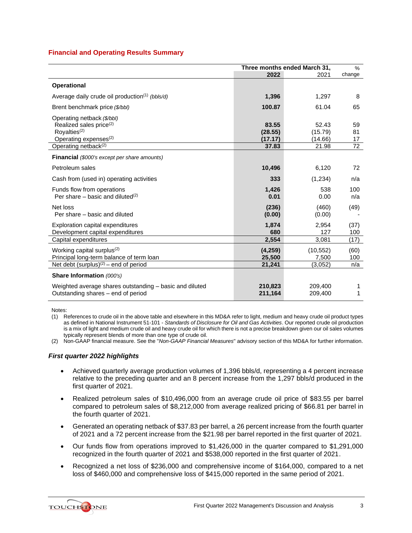# **Financial and Operating Results Summary**

|                                                                                                                                                                        | Three months ended March 31,         |                                      | %                    |
|------------------------------------------------------------------------------------------------------------------------------------------------------------------------|--------------------------------------|--------------------------------------|----------------------|
|                                                                                                                                                                        | 2022                                 | 2021                                 | change               |
| <b>Operational</b>                                                                                                                                                     |                                      |                                      |                      |
| Average daily crude oil production <sup>(1)</sup> (bbls/d)                                                                                                             | 1,396                                | 1,297                                | 8                    |
| Brent benchmark price (\$/bbl)                                                                                                                                         | 100.87                               | 61.04                                | 65                   |
| Operating netback (\$/bbl)<br>Realized sales price <sup>(2)</sup><br>Royalties <sup>(2)</sup><br>Operating expenses <sup>(2)</sup><br>Operating netback <sup>(2)</sup> | 83.55<br>(28.55)<br>(17.17)<br>37.83 | 52.43<br>(15.79)<br>(14.66)<br>21.98 | 59<br>81<br>17<br>72 |
| <b>Financial</b> (\$000's except per share amounts)                                                                                                                    |                                      |                                      |                      |
| Petroleum sales                                                                                                                                                        | 10,496                               | 6,120                                | 72                   |
| Cash from (used in) operating activities                                                                                                                               | 333                                  | (1,234)                              | n/a                  |
| Funds flow from operations<br>Per share – basic and diluted <sup>(2)</sup>                                                                                             | 1,426<br>0.01                        | 538<br>0.00                          | 100<br>n/a           |
| Net loss<br>Per share – basic and diluted                                                                                                                              | (236)<br>(0.00)                      | (460)<br>(0.00)                      | (49)                 |
| Exploration capital expenditures<br>Development capital expenditures                                                                                                   | 1,874<br>680                         | 2,954<br>127                         | (37)<br>100          |
| Capital expenditures                                                                                                                                                   | 2,554                                | 3,081                                | (17)                 |
| Working capital surplus <sup>(2)</sup><br>Principal long-term balance of term loan                                                                                     | (4,259)<br>25,500                    | (10, 552)<br>7,500                   | (60)<br>100          |
| Net debt (surplus) $(2)$ – end of period                                                                                                                               | 21,241                               | (3,052)                              | n/a                  |
| Share Information (000's)                                                                                                                                              |                                      |                                      |                      |
| Weighted average shares outstanding – basic and diluted<br>Outstanding shares – end of period                                                                          | 210,823<br>211,164                   | 209,400<br>209,400                   | 1<br>1               |

Notes:

(1) References to crude oil in the above table and elsewhere in this MD&A refer to light, medium and heavy crude oil product types as defined in National Instrument 51-101 - *Standards of Disclosure for Oil and Gas Activities*. Our reported crude oil production is a mix of light and medium crude oil and heavy crude oil for which there is not a precise breakdown given our oil sales volumes typically represent blends of more than one type of crude oil.

(2) Non-GAAP financial measure. See the "*Non-GAAP Financial Measures*" advisory section of this MD&A for further information.

# *First quarter 2022 highlights*

- Achieved quarterly average production volumes of 1,396 bbls/d, representing a 4 percent increase relative to the preceding quarter and an 8 percent increase from the 1,297 bbls/d produced in the first quarter of 2021.
- Realized petroleum sales of \$10,496,000 from an average crude oil price of \$83.55 per barrel compared to petroleum sales of \$8,212,000 from average realized pricing of \$66.81 per barrel in the fourth quarter of 2021.
- Generated an operating netback of \$37.83 per barrel, a 26 percent increase from the fourth quarter of 2021 and a 72 percent increase from the \$21.98 per barrel reported in the first quarter of 2021.
- Our funds flow from operations improved to \$1,426,000 in the quarter compared to \$1,291,000 recognized in the fourth quarter of 2021 and \$538,000 reported in the first quarter of 2021.
- Recognized a net loss of \$236,000 and comprehensive income of \$164,000, compared to a net loss of \$460,000 and comprehensive loss of \$415,000 reported in the same period of 2021.

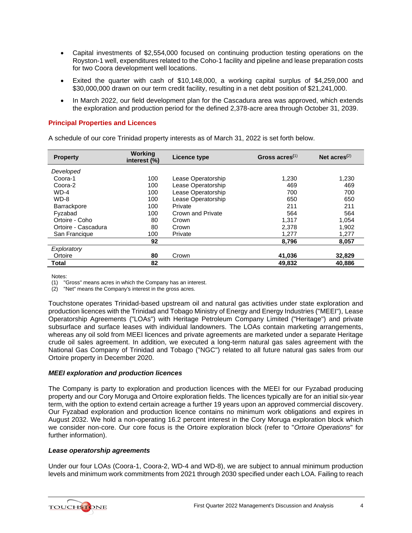- Capital investments of \$2,554,000 focused on continuing production testing operations on the Royston-1 well, expenditures related to the Coho-1 facility and pipeline and lease preparation costs for two Coora development well locations.
- Exited the quarter with cash of \$10,148,000, a working capital surplus of \$4,259,000 and \$30,000,000 drawn on our term credit facility, resulting in a net debt position of \$21,241,000.
- In March 2022, our field development plan for the Cascadura area was approved, which extends the exploration and production period for the defined 2,378-acre area through October 31, 2039.

# **Principal Properties and Licences**

A schedule of our core Trinidad property interests as of March 31, 2022 is set forth below.

| <b>Property</b>     | Working<br>interest (%) | Licence type       | Gross $\arccos(1)$ | Net $acres^{(2)}$ |
|---------------------|-------------------------|--------------------|--------------------|-------------------|
| Developed           |                         |                    |                    |                   |
| Coora-1             | 100                     | Lease Operatorship | 1,230              | 1,230             |
| Coora-2             | 100                     | Lease Operatorship | 469                | 469               |
| $WD-4$              | 100                     | Lease Operatorship | 700                | 700               |
| $WD-8$              | 100                     | Lease Operatorship | 650                | 650               |
| <b>Barrackpore</b>  | 100                     | Private            | 211                | 211               |
| Fyzabad             | 100                     | Crown and Private  | 564                | 564               |
| Ortoire - Coho      | 80                      | Crown              | 1.317              | 1.054             |
| Ortoire - Cascadura | 80                      | Crown              | 2,378              | 1.902             |
| San Francique       | 100                     | Private            | 1,277              | 1,277             |
|                     | 92                      |                    | 8,796              | 8,057             |
| Exploratory         |                         |                    |                    |                   |
| Ortoire             | 80                      | Crown              | 41.036             | 32,829            |
| Total               | 82                      |                    | 49.832             | 40.886            |

Notes:

(1) "Gross" means acres in which the Company has an interest.

(2) "Net" means the Company's interest in the gross acres.

Touchstone operates Trinidad-based upstream oil and natural gas activities under state exploration and production licences with the Trinidad and Tobago Ministry of Energy and Energy Industries ("MEEI"), Lease Operatorship Agreements ("LOAs") with Heritage Petroleum Company Limited ("Heritage") and private subsurface and surface leases with individual landowners. The LOAs contain marketing arrangements, whereas any oil sold from MEEI licences and private agreements are marketed under a separate Heritage crude oil sales agreement. In addition, we executed a long-term natural gas sales agreement with the National Gas Company of Trinidad and Tobago ("NGC") related to all future natural gas sales from our Ortoire property in December 2020.

# *MEEI exploration and production licences*

The Company is party to exploration and production licences with the MEEI for our Fyzabad producing property and our Cory Moruga and Ortoire exploration fields. The licences typically are for an initial six-year term, with the option to extend certain acreage a further 19 years upon an approved commercial discovery. Our Fyzabad exploration and production licence contains no minimum work obligations and expires in August 2032. We hold a non-operating 16.2 percent interest in the Cory Moruga exploration block which we consider non-core. Our core focus is the Ortoire exploration block (refer to "*Ortoire Operations*" for further information).

# *Lease operatorship agreements*

Under our four LOAs (Coora-1, Coora-2, WD-4 and WD-8), we are subject to annual minimum production levels and minimum work commitments from 2021 through 2030 specified under each LOA. Failing to reach

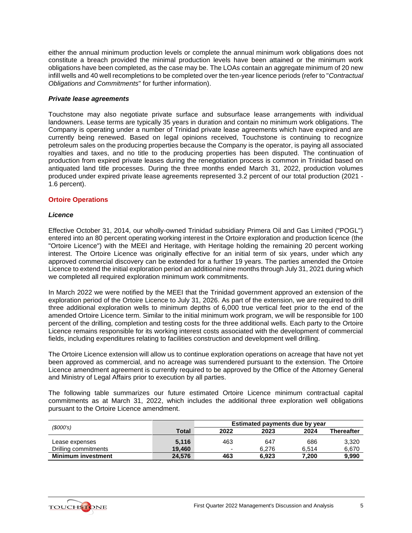either the annual minimum production levels or complete the annual minimum work obligations does not constitute a breach provided the minimal production levels have been attained or the minimum work obligations have been completed, as the case may be. The LOAs contain an aggregate minimum of 20 new infill wells and 40 well recompletions to be completed over the ten-year licence periods (refer to "*Contractual Obligations and Commitments*" for further information).

# *Private lease agreements*

Touchstone may also negotiate private surface and subsurface lease arrangements with individual landowners. Lease terms are typically 35 years in duration and contain no minimum work obligations. The Company is operating under a number of Trinidad private lease agreements which have expired and are currently being renewed. Based on legal opinions received, Touchstone is continuing to recognize petroleum sales on the producing properties because the Company is the operator, is paying all associated royalties and taxes, and no title to the producing properties has been disputed. The continuation of production from expired private leases during the renegotiation process is common in Trinidad based on antiquated land title processes. During the three months ended March 31, 2022, production volumes produced under expired private lease agreements represented 3.2 percent of our total production (2021 - 1.6 percent).

### **Ortoire Operations**

### *Licence*

Effective October 31, 2014, our wholly-owned Trinidad subsidiary Primera Oil and Gas Limited ("POGL") entered into an 80 percent operating working interest in the Ortoire exploration and production licence (the "Ortoire Licence") with the MEEI and Heritage, with Heritage holding the remaining 20 percent working interest. The Ortoire Licence was originally effective for an initial term of six years, under which any approved commercial discovery can be extended for a further 19 years. The parties amended the Ortoire Licence to extend the initial exploration period an additional nine months through July 31, 2021 during which we completed all required exploration minimum work commitments.

In March 2022 we were notified by the MEEI that the Trinidad government approved an extension of the exploration period of the Ortoire Licence to July 31, 2026. As part of the extension, we are required to drill three additional exploration wells to minimum depths of 6,000 true vertical feet prior to the end of the amended Ortoire Licence term. Similar to the initial minimum work program, we will be responsible for 100 percent of the drilling, completion and testing costs for the three additional wells. Each party to the Ortoire Licence remains responsible for its working interest costs associated with the development of commercial fields, including expenditures relating to facilities construction and development well drilling.

The Ortoire Licence extension will allow us to continue exploration operations on acreage that have not yet been approved as commercial, and no acreage was surrendered pursuant to the extension. The Ortoire Licence amendment agreement is currently required to be approved by the Office of the Attorney General and Ministry of Legal Affairs prior to execution by all parties.

The following table summarizes our future estimated Ortoire Licence minimum contractual capital commitments as at March 31, 2022, which includes the additional three exploration well obligations pursuant to the Ortoire Licence amendment.

| (S000's)                  |        |                          | Estimated payments due by year |       |                   |
|---------------------------|--------|--------------------------|--------------------------------|-------|-------------------|
|                           | Total  | 2022                     | 2023                           | 2024  | <b>Thereafter</b> |
| Lease expenses            | 5.116  | 463                      | 647                            | 686   | 3,320             |
| Drilling commitments      | 19.460 | $\overline{\phantom{0}}$ | 6.276                          | 6.514 | 6,670             |
| <b>Minimum investment</b> | 24,576 | 463                      | 6.923                          | 7,200 | 9,990             |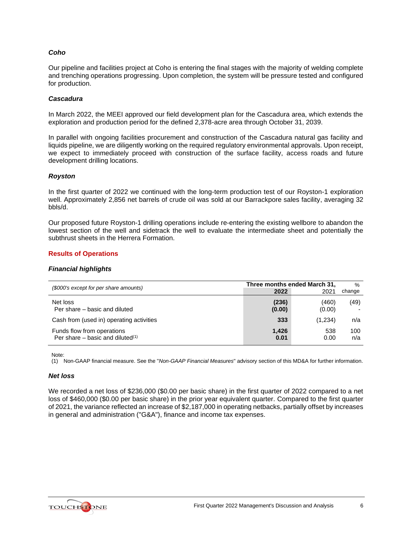# *Coho*

Our pipeline and facilities project at Coho is entering the final stages with the majority of welding complete and trenching operations progressing. Upon completion, the system will be pressure tested and configured for production.

### *Cascadura*

In March 2022, the MEEI approved our field development plan for the Cascadura area, which extends the exploration and production period for the defined 2,378-acre area through October 31, 2039.

In parallel with ongoing facilities procurement and construction of the Cascadura natural gas facility and liquids pipeline, we are diligently working on the required regulatory environmental approvals. Upon receipt, we expect to immediately proceed with construction of the surface facility, access roads and future development drilling locations.

#### *Royston*

In the first quarter of 2022 we continued with the long-term production test of our Royston-1 exploration well. Approximately 2,856 net barrels of crude oil was sold at our Barrackpore sales facility, averaging 32 bbls/d.

Our proposed future Royston-1 drilling operations include re-entering the existing wellbore to abandon the lowest section of the well and sidetrack the well to evaluate the intermediate sheet and potentially the subthrust sheets in the Herrera Formation.

# **Results of Operations**

# *Financial highlights*

| (\$000's except for per share amounts)                            |                 | Three months ended March 31, | $\%$       |
|-------------------------------------------------------------------|-----------------|------------------------------|------------|
|                                                                   | 2022            | 2021                         | change     |
| Net loss<br>Per share – basic and diluted                         | (236)<br>(0.00) | (460)<br>(0.00)              | (49)       |
| Cash from (used in) operating activities                          | 333             | (1,234)                      | n/a        |
| Funds flow from operations<br>Per share – basic and diluted $(1)$ | 1.426<br>0.01   | 538<br>0.00                  | 100<br>n/a |

Note:

(1) Non-GAAP financial measure. See the "*Non-GAAP Financial Measures*" advisory section of this MD&A for further information.

### *Net loss*

We recorded a net loss of \$236,000 (\$0.00 per basic share) in the first quarter of 2022 compared to a net loss of \$460,000 (\$0.00 per basic share) in the prior year equivalent quarter. Compared to the first quarter of 2021, the variance reflected an increase of \$2,187,000 in operating netbacks, partially offset by increases in general and administration ("G&A"), finance and income tax expenses.

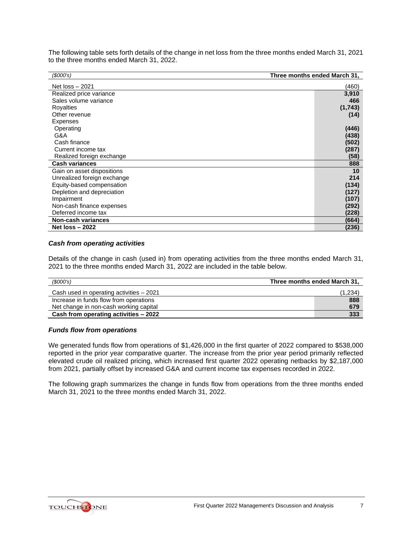The following table sets forth details of the change in net loss from the three months ended March 31, 2021 to the three months ended March 31, 2022.

| Three months ended March 31,<br>\$000's) |          |
|------------------------------------------|----------|
| Net $loss - 2021$                        | (460)    |
| Realized price variance                  | 3,910    |
| Sales volume variance                    | 466      |
| Royalties                                | (1, 743) |
| Other revenue                            | (14)     |
| Expenses                                 |          |
| Operating                                | (446)    |
| G&A                                      | (438)    |
| Cash finance                             | (502)    |
| Current income tax                       | (287)    |
| Realized foreign exchange                | (58)     |
| <b>Cash variances</b>                    | 888      |
| Gain on asset dispositions               | 10       |
| Unrealized foreign exchange              | 214      |
| Equity-based compensation                | (134)    |
| Depletion and depreciation               | (127)    |
| Impairment                               | (107)    |
| Non-cash finance expenses                | (292)    |
| Deferred income tax                      | (228)    |
| Non-cash variances                       | (664)    |
| <b>Net loss - 2022</b>                   | (236)    |

# *Cash from operating activities*

Details of the change in cash (used in) from operating activities from the three months ended March 31, 2021 to the three months ended March 31, 2022 are included in the table below.

| (\$000's)                                | Three months ended March 31, |  |  |
|------------------------------------------|------------------------------|--|--|
| Cash used in operating activities - 2021 | (1,234)                      |  |  |
| Increase in funds flow from operations   | 888                          |  |  |
| Net change in non-cash working capital   | 679                          |  |  |
| Cash from operating activities - 2022    | 333                          |  |  |

# *Funds flow from operations*

We generated funds flow from operations of \$1,426,000 in the first quarter of 2022 compared to \$538,000 reported in the prior year comparative quarter. The increase from the prior year period primarily reflected elevated crude oil realized pricing, which increased first quarter 2022 operating netbacks by \$2,187,000 from 2021, partially offset by increased G&A and current income tax expenses recorded in 2022.

The following graph summarizes the change in funds flow from operations from the three months ended March 31, 2021 to the three months ended March 31, 2022.

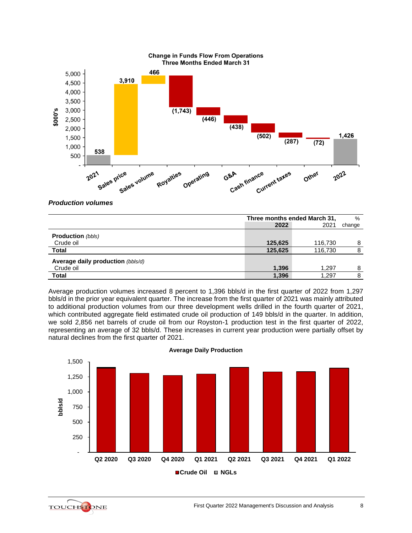

*Production volumes*

|                                   | Three months ended March 31, |         | %      |
|-----------------------------------|------------------------------|---------|--------|
|                                   | 2022                         | 2021    | change |
| <b>Production</b> (bbls)          |                              |         |        |
| Crude oil                         | 125,625                      | 116,730 | 8      |
| Total                             | 125,625                      | 116,730 | 8      |
| Average daily production (bbls/d) |                              |         |        |
| Crude oil                         | 1,396                        | 1.297   | 8      |
| Total                             | 1,396                        | 1,297   |        |

Average production volumes increased 8 percent to 1,396 bbls/d in the first quarter of 2022 from 1,297 bbls/d in the prior year equivalent quarter. The increase from the first quarter of 2021 was mainly attributed to additional production volumes from our three development wells drilled in the fourth quarter of 2021, which contributed aggregate field estimated crude oil production of 149 bbls/d in the quarter. In addition, we sold 2,856 net barrels of crude oil from our Royston-1 production test in the first quarter of 2022, representing an average of 32 bbls/d. These increases in current year production were partially offset by natural declines from the first quarter of 2021.



### **Average Daily Production**

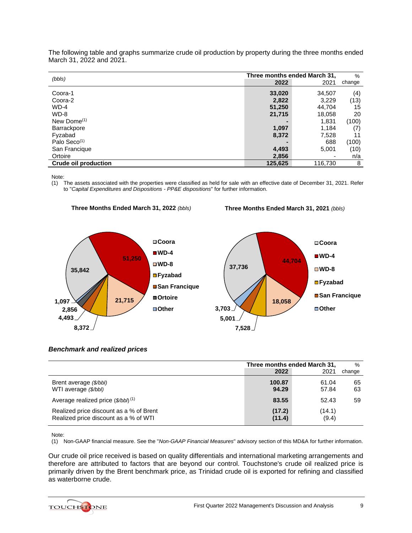|                             | Three months ended March 31, |         | %      |
|-----------------------------|------------------------------|---------|--------|
| (bbls)                      | 2022                         | 2021    | change |
| Coora-1                     | 33,020                       | 34,507  | (4)    |
| Coora-2                     | 2,822                        | 3,229   | (13)   |
| $WD-4$                      | 51,250                       | 44,704  | 15     |
| WD-8                        | 21,715                       | 18,058  | 20     |
| New Dome $(1)$              |                              | 1,831   | (100)  |
| Barrackpore                 | 1,097                        | 1,184   | (7)    |
| Fyzabad                     | 8,372                        | 7,528   | 11     |
| Palo Seco <sup>(1)</sup>    |                              | 688     | (100)  |
| San Francique               | 4,493                        | 5,001   | (10)   |
| Ortoire                     | 2,856                        | ۰       | n/a    |
| <b>Crude oil production</b> | 125,625                      | 116,730 | 8      |

The following table and graphs summarize crude oil production by property during the three months ended March 31, 2022 and 2021.

Note:

(1) The assets associated with the properties were classified as held for sale with an effective date of December 31, 2021. Refer to "*Capital Expenditures and Dispositions - PP&E dispositions*" for further information.



**Three Months Ended March 31, 2022** *(bbls)*

**Three Months Ended March 31, 2021** *(bbls)*



# *Benchmark and realized prices*

|                                                                                  | Three months ended March 31, |                 | $\%$     |
|----------------------------------------------------------------------------------|------------------------------|-----------------|----------|
|                                                                                  | 2022                         | 2021            | change   |
| Brent average (\$/bbl)<br>WTI average (\$/bbl)                                   | 100.87<br>94.29              | 61.04<br>57.84  | 65<br>63 |
| Average realized price $(\frac{\text{S}}{\text{B}})$ (1)                         | 83.55                        | 52.43           | 59       |
| Realized price discount as a % of Brent<br>Realized price discount as a % of WTI | (17.2)<br>(11.4)             | (14.1)<br>(9.4) |          |

Note:

(1) Non-GAAP financial measure. See the "*Non-GAAP Financial Measures*" advisory section of this MD&A for further information.

Our crude oil price received is based on quality differentials and international marketing arrangements and therefore are attributed to factors that are beyond our control. Touchstone's crude oil realized price is primarily driven by the Brent benchmark price, as Trinidad crude oil is exported for refining and classified as waterborne crude.

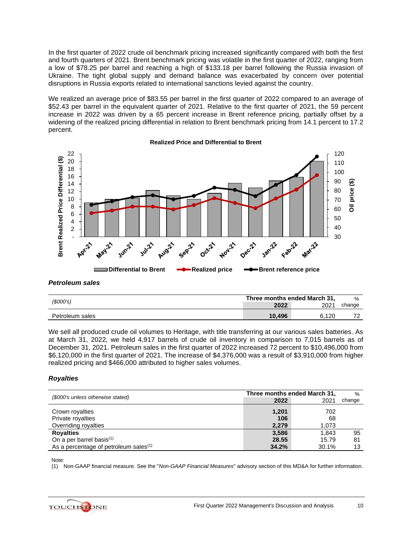In the first quarter of 2022 crude oil benchmark pricing increased significantly compared with both the first and fourth quarters of 2021. Brent benchmark pricing was volatile in the first quarter of 2022, ranging from a low of \$78.25 per barrel and reaching a high of \$133.18 per barrel following the Russia invasion of Ukraine. The tight global supply and demand balance was exacerbated by concern over potential disruptions in Russia exports related to international sanctions levied against the country.

We realized an average price of \$83.55 per barrel in the first quarter of 2022 compared to an average of \$52.43 per barrel in the equivalent quarter of 2021. Relative to the first quarter of 2021, the 59 percent increase in 2022 was driven by a 65 percent increase in Brent reference pricing, partially offset by a widening of the realized pricing differential in relation to Brent benchmark pricing from 14.1 percent to 17.2 percent.



#### **Realized Price and Differential to Brent**

# *Petroleum sales*

| (S000's)        | Three months ended March 31, |       | $\%$                     |
|-----------------|------------------------------|-------|--------------------------|
|                 | 2022                         | 2021  | change                   |
| Petroleum sales | 10.496                       | 6.120 | $\overline{\phantom{a}}$ |

We sell all produced crude oil volumes to Heritage, with title transferring at our various sales batteries. As at March 31, 2022, we held 4,917 barrels of crude oil inventory in comparison to 7,015 barrels as of December 31, 2021. Petroleum sales in the first quarter of 2022 increased 72 percent to \$10,496,000 from \$6,120,000 in the first quarter of 2021. The increase of \$4,376,000 was a result of \$3,910,000 from higher realized pricing and \$466,000 attributed to higher sales volumes.

# *Royalties*

| (\$000's unless otherwise stated)                 | Three months ended March 31, |       | $\frac{0}{0}$ |
|---------------------------------------------------|------------------------------|-------|---------------|
|                                                   | 2022                         | 2021  | change        |
| Crown royalties                                   | 1,201                        | 702   |               |
| Private royalties                                 | 106                          | 68    |               |
| Overriding royalties                              | 2.279                        | 1.073 |               |
| <b>Royalties</b>                                  | 3.586                        | 1.843 | 95            |
| On a per barrel basis <sup>(1)</sup>              | 28.55                        | 15.79 | 81            |
| As a percentage of petroleum sales <sup>(1)</sup> | 34.2%                        | 30.1% | 13            |

Note:

(1) Non-GAAP financial measure. See the "*Non-GAAP Financial Measures*" advisory section of this MD&A for further information.

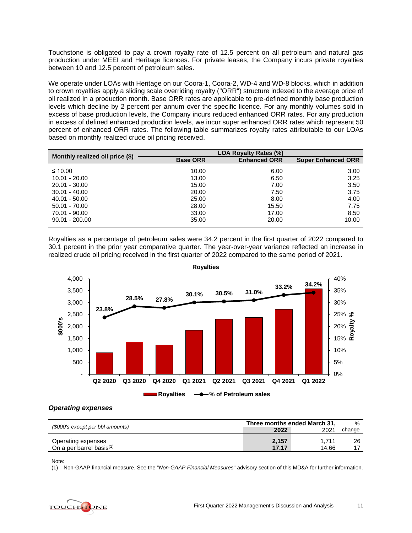Touchstone is obligated to pay a crown royalty rate of 12.5 percent on all petroleum and natural gas production under MEEI and Heritage licences. For private leases, the Company incurs private royalties between 10 and 12.5 percent of petroleum sales.

We operate under LOAs with Heritage on our Coora-1, Coora-2, WD-4 and WD-8 blocks, which in addition to crown royalties apply a sliding scale overriding royalty ("ORR") structure indexed to the average price of oil realized in a production month. Base ORR rates are applicable to pre-defined monthly base production levels which decline by 2 percent per annum over the specific licence. For any monthly volumes sold in excess of base production levels, the Company incurs reduced enhanced ORR rates. For any production in excess of defined enhanced production levels, we incur super enhanced ORR rates which represent 50 percent of enhanced ORR rates. The following table summarizes royalty rates attributable to our LOAs based on monthly realized crude oil pricing received.

| Monthly realized oil price (\$) |                 | <b>LOA Royalty Rates (%)</b> |                           |
|---------------------------------|-----------------|------------------------------|---------------------------|
|                                 | <b>Base ORR</b> | <b>Enhanced ORR</b>          | <b>Super Enhanced ORR</b> |
| ≤ 10.00                         | 10.00           | 6.00                         | 3.00                      |
| $10.01 - 20.00$                 | 13.00           | 6.50                         | 3.25                      |
| $20.01 - 30.00$                 | 15.00           | 7.00                         | 3.50                      |
| $30.01 - 40.00$                 | 20.00           | 7.50                         | 3.75                      |
| $40.01 - 50.00$                 | 25.00           | 8.00                         | 4.00                      |
| $50.01 - 70.00$                 | 28.00           | 15.50                        | 7.75                      |
| 70.01 - 90.00                   | 33.00           | 17.00                        | 8.50                      |
| $90.01 - 200.00$                | 35.00           | 20.00                        | 10.00                     |

Royalties as a percentage of petroleum sales were 34.2 percent in the first quarter of 2022 compared to 30.1 percent in the prior year comparative quarter. The year-over-year variance reflected an increase in realized crude oil pricing received in the first quarter of 2022 compared to the same period of 2021.



**Royalties**

#### *Operating expenses*

|                                                   | Three months ended March 31, |                | $\%$   |
|---------------------------------------------------|------------------------------|----------------|--------|
| (\$000's except per bbl amounts)                  | 2022                         | 2021           | change |
| Operating expenses<br>On a per barrel basis $(1)$ | 2.157<br>17.17               | 1.711<br>14.66 | 26     |

Note:

(1) Non-GAAP financial measure. See the "*Non-GAAP Financial Measures*" advisory section of this MD&A for further information.

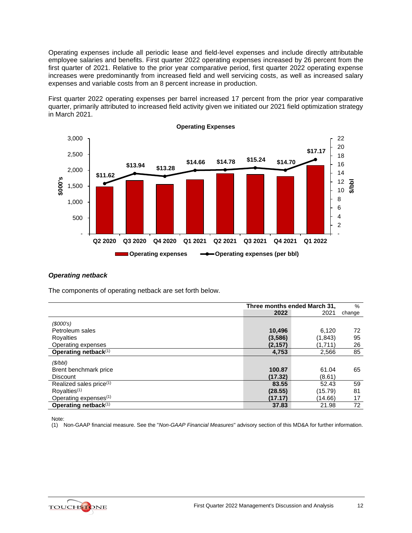Operating expenses include all periodic lease and field-level expenses and include directly attributable employee salaries and benefits. First quarter 2022 operating expenses increased by 26 percent from the first quarter of 2021. Relative to the prior year comparative period, first quarter 2022 operating expense increases were predominantly from increased field and well servicing costs, as well as increased salary expenses and variable costs from an 8 percent increase in production.

First quarter 2022 operating expenses per barrel increased 17 percent from the prior year comparative quarter, primarily attributed to increased field activity given we initiated our 2021 field optimization strategy in March 2021.



# *Operating netback*

The components of operating netback are set forth below.

|                                     | Three months ended March 31, |         | $\%$   |
|-------------------------------------|------------------------------|---------|--------|
|                                     | 2022                         | 2021    | change |
| (S000's)                            |                              |         |        |
| Petroleum sales                     | 10,496                       | 6,120   | 72     |
| Royalties                           | (3,586)                      | (1,843) | 95     |
| Operating expenses                  | (2, 157)                     | (1,711) | 26     |
| Operating netback(1)                | 4,753                        | 2,566   | 85     |
| (S/bb)                              |                              |         |        |
| Brent benchmark price               | 100.87                       | 61.04   | 65     |
| <b>Discount</b>                     | (17.32)                      | (8.61)  |        |
| Realized sales price <sup>(1)</sup> | 83.55                        | 52.43   | 59     |
| Royalties <sup>(1)</sup>            | (28.55)                      | (15.79) | 81     |
| Operating expenses <sup>(1)</sup>   | (17.17)                      | (14.66) | 17     |
| Operating netback $(1)$             | 37.83                        | 21.98   | 72     |

Note:

(1) Non-GAAP financial measure. See the "*Non-GAAP Financial Measures*" advisory section of this MD&A for further information.

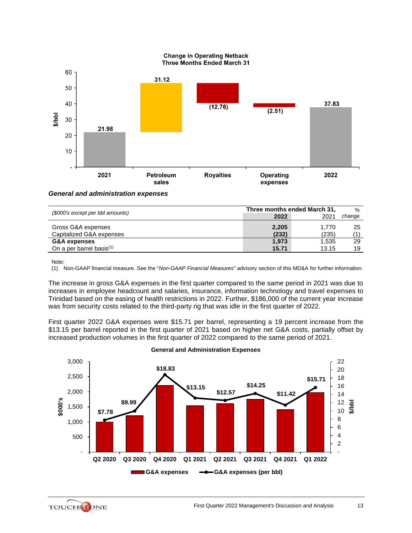

### *General and administration expenses*

| (\$000's except per bbl amounts)               | Three months ended March 31, |                | $\%$   |
|------------------------------------------------|------------------------------|----------------|--------|
|                                                | 2022                         | 2021           | change |
| Gross G&A expenses<br>Capitalized G&A expenses | 2,205<br>(232)               | 1.770<br>(235) | 25     |
| G&A expenses                                   | 1,973                        | 1,535          | 29     |
| On a per barrel basis <sup>(1)</sup>           | 15.71                        | 13.15          | 19     |

Note:

(1) Non-GAAP financial measure. See the "*Non-GAAP Financial Measures*" advisory section of this MD&A for further information.

The increase in gross G&A expenses in the first quarter compared to the same period in 2021 was due to increases in employee headcount and salaries, insurance, information technology and travel expenses to Trinidad based on the easing of health restrictions in 2022. Further, \$186,000 of the current year increase was from security costs related to the third-party rig that was idle in the first quarter of 2022.

First quarter 2022 G&A expenses were \$15.71 per barrel, representing a 19 percent increase from the \$13.15 per barrel reported in the first quarter of 2021 based on higher net G&A costs, partially offset by increased production volumes in the first quarter of 2022 compared to the same period of 2021.



**General and Administration Expenses**

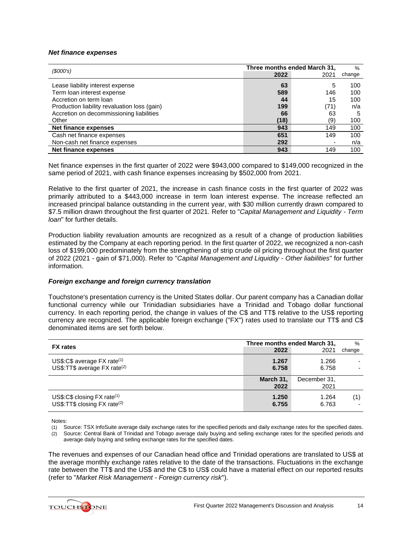#### *Net finance expenses*

|                                              |      | Three months ended March 31, | $\%$   |
|----------------------------------------------|------|------------------------------|--------|
| (S000's)                                     | 2022 | 2021                         | change |
| Lease liability interest expense             | 63   | 5                            | 100    |
| Term loan interest expense                   | 589  | 146                          | 100    |
| Accretion on term loan                       | 44   | 15                           | 100    |
| Production liability revaluation loss (gain) | 199  | (71)                         | n/a    |
| Accretion on decommissioning liabilities     | 66   | 63                           | 5      |
| Other                                        | (18) | (9)                          | 100    |
| Net finance expenses                         | 943  | 149                          | 100    |
| Cash net finance expenses                    | 651  | 149                          | 100    |
| Non-cash net finance expenses                | 292  |                              | n/a    |
| Net finance expenses                         | 943  | 149                          | 100    |

Net finance expenses in the first quarter of 2022 were \$943,000 compared to \$149,000 recognized in the same period of 2021, with cash finance expenses increasing by \$502,000 from 2021.

Relative to the first quarter of 2021, the increase in cash finance costs in the first quarter of 2022 was primarily attributed to a \$443,000 increase in term loan interest expense. The increase reflected an increased principal balance outstanding in the current year, with \$30 million currently drawn compared to \$7.5 million drawn throughout the first quarter of 2021. Refer to "*Capital Management and Liquidity - Term loan*" for further details.

Production liability revaluation amounts are recognized as a result of a change of production liabilities estimated by the Company at each reporting period. In the first quarter of 2022, we recognized a non-cash loss of \$199,000 predominately from the strengthening of strip crude oil pricing throughout the first quarter of 2022 (2021 - gain of \$71,000). Refer to "*Capital Management and Liquidity - Other liabilities*" for further information.

# *Foreign exchange and foreign currency translation*

Touchstone's presentation currency is the United States dollar. Our parent company has a Canadian dollar functional currency while our Trinidadian subsidiaries have a Trinidad and Tobago dollar functional currency. In each reporting period, the change in values of the C\$ and TT\$ relative to the US\$ reporting currency are recognized. The applicable foreign exchange ("FX") rates used to translate our TT\$ and C\$ denominated items are set forth below.

| <b>FX</b> rates                                                                       | Three months ended March 31, |                      | %      |
|---------------------------------------------------------------------------------------|------------------------------|----------------------|--------|
|                                                                                       | 2022                         | 2021                 | change |
| US\$:C\$ average $FX$ rate <sup>(1)</sup><br>US\$:TT\$ average FX rate <sup>(2)</sup> | 1.267<br>6.758               | 1.266<br>6.758       |        |
|                                                                                       | March 31,<br>2022            | December 31,<br>2021 |        |
| US\$:C\$ closing $FX$ rate <sup>(1)</sup><br>US\$:TT\$ closing FX rate <sup>(2)</sup> | 1.250<br>6.755               | 1.264<br>6.763       | (1)    |

Notes:

- (1) Source: TSX InfoSuite average daily exchange rates for the specified periods and daily exchange rates for the specified dates.
- (2) Source: Central Bank of Trinidad and Tobago average daily buying and selling exchange rates for the specified periods and average daily buying and selling exchange rates for the specified dates.

The revenues and expenses of our Canadian head office and Trinidad operations are translated to US\$ at the average monthly exchange rates relative to the date of the transactions. Fluctuations in the exchange rate between the TT\$ and the US\$ and the C\$ to US\$ could have a material effect on our reported results (refer to "*Market Risk Management - Foreign currency risk*").

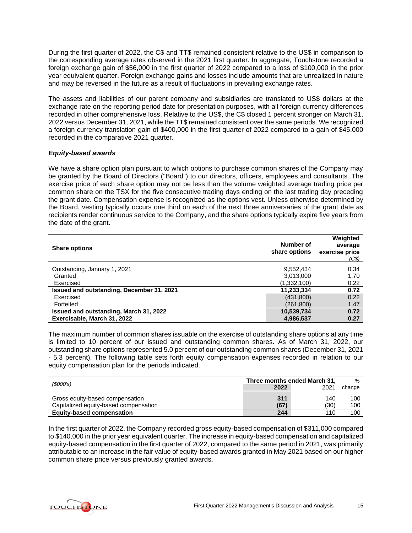During the first quarter of 2022, the C\$ and TT\$ remained consistent relative to the US\$ in comparison to the corresponding average rates observed in the 2021 first quarter. In aggregate, Touchstone recorded a foreign exchange gain of \$56,000 in the first quarter of 2022 compared to a loss of \$100,000 in the prior year equivalent quarter. Foreign exchange gains and losses include amounts that are unrealized in nature and may be reversed in the future as a result of fluctuations in prevailing exchange rates.

The assets and liabilities of our parent company and subsidiaries are translated to US\$ dollars at the exchange rate on the reporting period date for presentation purposes, with all foreign currency differences recorded in other comprehensive loss. Relative to the US\$, the C\$ closed 1 percent stronger on March 31, 2022 versus December 31, 2021, while the TT\$ remained consistent over the same periods. We recognized a foreign currency translation gain of \$400,000 in the first quarter of 2022 compared to a gain of \$45,000 recorded in the comparative 2021 quarter.

# *Equity-based awards*

We have a share option plan pursuant to which options to purchase common shares of the Company may be granted by the Board of Directors ("Board") to our directors, officers, employees and consultants. The exercise price of each share option may not be less than the volume weighted average trading price per common share on the TSX for the five consecutive trading days ending on the last trading day preceding the grant date. Compensation expense is recognized as the options vest. Unless otherwise determined by the Board, vesting typically occurs one third on each of the next three anniversaries of the grant date as recipients render continuous service to the Company, and the share options typically expire five years from the date of the grant.

| <b>Share options</b>                      | Number of<br>share options | Weighted<br>average<br>exercise price<br>(C\$) |
|-------------------------------------------|----------------------------|------------------------------------------------|
| Outstanding, January 1, 2021              | 9,552,434                  | 0.34                                           |
| Granted                                   | 3,013,000                  | 1.70                                           |
| Exercised                                 | (1,332,100)                | 0.22                                           |
| Issued and outstanding, December 31, 2021 | 11,233,334                 | 0.72                                           |
| Exercised                                 | (431, 800)                 | 0.22                                           |
| Forfeited                                 | (261,800)                  | 1.47                                           |
| Issued and outstanding, March 31, 2022    | 10,539,734                 | 0.72                                           |
| Exercisable, March 31, 2022               | 4,986,537                  | 0.27                                           |

The maximum number of common shares issuable on the exercise of outstanding share options at any time is limited to 10 percent of our issued and outstanding common shares. As of March 31, 2022, our outstanding share options represented 5.0 percent of our outstanding common shares (December 31, 2021 - 5.3 percent). The following table sets forth equity compensation expenses recorded in relation to our equity compensation plan for the periods indicated.

| (S000's)                                                                 | Three months ended March 31, |             | $\frac{0}{0}$ |
|--------------------------------------------------------------------------|------------------------------|-------------|---------------|
|                                                                          | 2022                         | 2021        | change        |
| Gross equity-based compensation<br>Capitalized equity-based compensation | 311<br>(67)                  | 140<br>(30) | 100<br>100    |
| <b>Equity-based compensation</b>                                         | 244                          | 110         | 100           |

In the first quarter of 2022, the Company recorded gross equity-based compensation of \$311,000 compared to \$140,000 in the prior year equivalent quarter. The increase in equity-based compensation and capitalized equity-based compensation in the first quarter of 2022, compared to the same period in 2021, was primarily attributable to an increase in the fair value of equity-based awards granted in May 2021 based on our higher common share price versus previously granted awards.

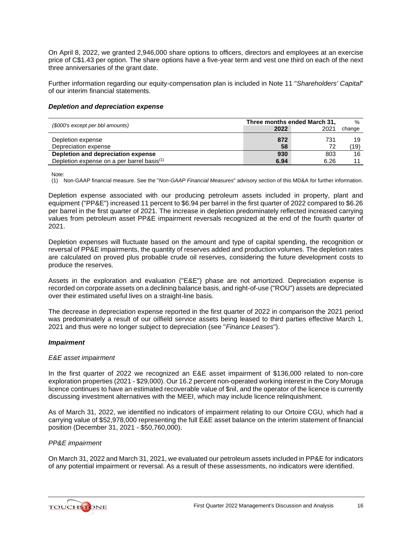On April 8, 2022, we granted 2,946,000 share options to officers, directors and employees at an exercise price of C\$1.43 per option. The share options have a five-year term and vest one third on each of the next three anniversaries of the grant date.

Further information regarding our equity-compensation plan is included in Note 11 "*Shareholders' Capital*" of our interim financial statements.

### *Depletion and depreciation expense*

| (\$000's except per bbl amounts)                       | Three months ended March 31, |           | $\frac{0}{0}$ |
|--------------------------------------------------------|------------------------------|-----------|---------------|
|                                                        | 2022                         | 2021      | change        |
| Depletion expense<br>Depreciation expense              | 872<br>58                    | 731<br>72 | 19<br>(19)    |
| Depletion and depreciation expense                     | 930                          | 803       | 16            |
| Depletion expense on a per barrel basis <sup>(1)</sup> | 6.94                         | 6.26      |               |

Note:

(1) Non-GAAP financial measure. See the "*Non-GAAP Financial Measures*" advisory section of this MD&A for further information.

Depletion expense associated with our producing petroleum assets included in property, plant and equipment ("PP&E") increased 11 percent to \$6.94 per barrel in the first quarter of 2022 compared to \$6.26 per barrel in the first quarter of 2021. The increase in depletion predominately reflected increased carrying values from petroleum asset PP&E impairment reversals recognized at the end of the fourth quarter of 2021.

Depletion expenses will fluctuate based on the amount and type of capital spending, the recognition or reversal of PP&E impairments, the quantity of reserves added and production volumes. The depletion rates are calculated on proved plus probable crude oil reserves, considering the future development costs to produce the reserves.

Assets in the exploration and evaluation ("E&E") phase are not amortized. Depreciation expense is recorded on corporate assets on a declining balance basis, and right-of-use ("ROU") assets are depreciated over their estimated useful lives on a straight-line basis.

The decrease in depreciation expense reported in the first quarter of 2022 in comparison the 2021 period was predominately a result of our oilfield service assets being leased to third parties effective March 1, 2021 and thus were no longer subject to depreciation (see "*Finance Leases*").

# *Impairment*

#### *E&E asset impairment*

In the first quarter of 2022 we recognized an E&E asset impairment of \$136,000 related to non-core exploration properties (2021 - \$29,000). Our 16.2 percent non-operated working interest in the Cory Moruga licence continues to have an estimated recoverable value of \$nil, and the operator of the licence is currently discussing investment alternatives with the MEEI, which may include licence relinquishment.

As of March 31, 2022, we identified no indicators of impairment relating to our Ortoire CGU, which had a carrying value of \$52,978,000 representing the full E&E asset balance on the interim statement of financial position (December 31, 2021 - \$50,760,000).

#### *PP&E impairment*

On March 31, 2022 and March 31, 2021, we evaluated our petroleum assets included in PP&E for indicators of any potential impairment or reversal. As a result of these assessments, no indicators were identified.

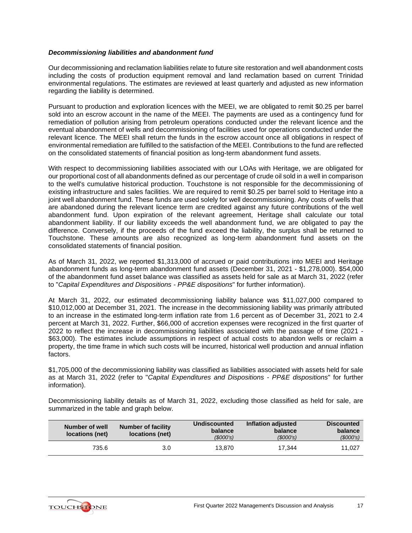# *Decommissioning liabilities and abandonment fund*

Our decommissioning and reclamation liabilities relate to future site restoration and well abandonment costs including the costs of production equipment removal and land reclamation based on current Trinidad environmental regulations. The estimates are reviewed at least quarterly and adjusted as new information regarding the liability is determined.

Pursuant to production and exploration licences with the MEEI, we are obligated to remit \$0.25 per barrel sold into an escrow account in the name of the MEEI. The payments are used as a contingency fund for remediation of pollution arising from petroleum operations conducted under the relevant licence and the eventual abandonment of wells and decommissioning of facilities used for operations conducted under the relevant licence. The MEEI shall return the funds in the escrow account once all obligations in respect of environmental remediation are fulfilled to the satisfaction of the MEEI. Contributions to the fund are reflected on the consolidated statements of financial position as long-term abandonment fund assets.

With respect to decommissioning liabilities associated with our LOAs with Heritage, we are obligated for our proportional cost of all abandonments defined as our percentage of crude oil sold in a well in comparison to the well's cumulative historical production. Touchstone is not responsible for the decommissioning of existing infrastructure and sales facilities. We are required to remit \$0.25 per barrel sold to Heritage into a joint well abandonment fund. These funds are used solely for well decommissioning. Any costs of wells that are abandoned during the relevant licence term are credited against any future contributions of the well abandonment fund. Upon expiration of the relevant agreement, Heritage shall calculate our total abandonment liability. If our liability exceeds the well abandonment fund, we are obligated to pay the difference. Conversely, if the proceeds of the fund exceed the liability, the surplus shall be returned to Touchstone. These amounts are also recognized as long-term abandonment fund assets on the consolidated statements of financial position.

As of March 31, 2022, we reported \$1,313,000 of accrued or paid contributions into MEEI and Heritage abandonment funds as long-term abandonment fund assets (December 31, 2021 - \$1,278,000). \$54,000 of the abandonment fund asset balance was classified as assets held for sale as at March 31, 2022 (refer to "*Capital Expenditures and Dispositions - PP&E dispositions*" for further information).

At March 31, 2022, our estimated decommissioning liability balance was \$11,027,000 compared to \$10,012,000 at December 31, 2021. The increase in the decommissioning liability was primarily attributed to an increase in the estimated long-term inflation rate from 1.6 percent as of December 31, 2021 to 2.4 percent at March 31, 2022. Further, \$66,000 of accretion expenses were recognized in the first quarter of 2022 to reflect the increase in decommissioning liabilities associated with the passage of time (2021 - \$63,000). The estimates include assumptions in respect of actual costs to abandon wells or reclaim a property, the time frame in which such costs will be incurred, historical well production and annual inflation factors.

\$1,705,000 of the decommissioning liability was classified as liabilities associated with assets held for sale as at March 31, 2022 (refer to "*Capital Expenditures and Dispositions - PP&E dispositions*" for further information).

Decommissioning liability details as of March 31, 2022, excluding those classified as held for sale, are summarized in the table and graph below.

| Number of well<br>locations (net) | Number of facility<br>locations (net) | <b>Undiscounted</b><br>balance<br>(S000's) | Inflation adjusted<br>balance<br>(S000's) | <b>Discounted</b><br>balance<br>(S000's) |
|-----------------------------------|---------------------------------------|--------------------------------------------|-------------------------------------------|------------------------------------------|
| 735.6                             | 3.0                                   | 13.870                                     | 17.344                                    | 11.027                                   |

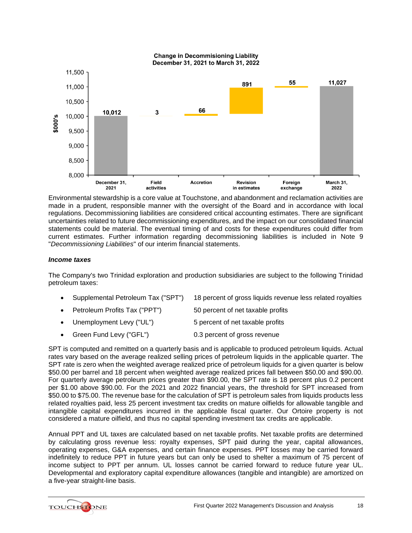

Environmental stewardship is a core value at Touchstone, and abandonment and reclamation activities are made in a prudent, responsible manner with the oversight of the Board and in accordance with local regulations. Decommissioning liabilities are considered critical accounting estimates. There are significant uncertainties related to future decommissioning expenditures, and the impact on our consolidated financial statements could be material. The eventual timing of and costs for these expenditures could differ from current estimates. Further information regarding decommissioning liabilities is included in Note 9 "*Decommissioning Liabilities*" of our interim financial statements.

# *Income taxes*

The Company's two Trinidad exploration and production subsidiaries are subject to the following Trinidad petroleum taxes:

|  | • Supplemental Petroleum Tax ("SPT") 18 percent of gross liquids revenue less related royalties |
|--|-------------------------------------------------------------------------------------------------|
|  |                                                                                                 |

- Petroleum Profits Tax ("PPT") 50 percent of net taxable profits
- Unemployment Levy ("UL") 5 percent of net taxable profits
- Green Fund Levy ("GFL") 0.3 percent of gross revenue

SPT is computed and remitted on a quarterly basis and is applicable to produced petroleum liquids. Actual rates vary based on the average realized selling prices of petroleum liquids in the applicable quarter. The SPT rate is zero when the weighted average realized price of petroleum liquids for a given quarter is below \$50.00 per barrel and 18 percent when weighted average realized prices fall between \$50.00 and \$90.00. For quarterly average petroleum prices greater than \$90.00, the SPT rate is 18 percent plus 0.2 percent per \$1.00 above \$90.00. For the 2021 and 2022 financial years, the threshold for SPT increased from \$50.00 to \$75.00. The revenue base for the calculation of SPT is petroleum sales from liquids products less related royalties paid, less 25 percent investment tax credits on mature oilfields for allowable tangible and intangible capital expenditures incurred in the applicable fiscal quarter. Our Ortoire property is not considered a mature oilfield, and thus no capital spending investment tax credits are applicable.

Annual PPT and UL taxes are calculated based on net taxable profits. Net taxable profits are determined by calculating gross revenue less: royalty expenses, SPT paid during the year, capital allowances, operating expenses, G&A expenses, and certain finance expenses. PPT losses may be carried forward indefinitely to reduce PPT in future years but can only be used to shelter a maximum of 75 percent of income subject to PPT per annum. UL losses cannot be carried forward to reduce future year UL. Developmental and exploratory capital expenditure allowances (tangible and intangible) are amortized on a five-year straight-line basis.

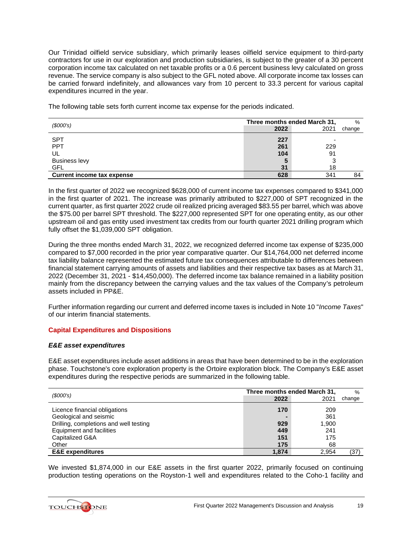Our Trinidad oilfield service subsidiary, which primarily leases oilfield service equipment to third-party contractors for use in our exploration and production subsidiaries, is subject to the greater of a 30 percent corporation income tax calculated on net taxable profits or a 0.6 percent business levy calculated on gross revenue. The service company is also subject to the GFL noted above. All corporate income tax losses can be carried forward indefinitely, and allowances vary from 10 percent to 33.3 percent for various capital expenditures incurred in the year.

*(\$000's)* **Three months ended March 31,** % change SPT **227** - PPT **261** 229 UL **104** 91 Business levy **5** 3 GFL **31** 18 **Current income tax expense 628** 341 84

The following table sets forth current income tax expense for the periods indicated.

In the first quarter of 2022 we recognized \$628,000 of current income tax expenses compared to \$341,000 in the first quarter of 2021. The increase was primarily attributed to \$227,000 of SPT recognized in the current quarter, as first quarter 2022 crude oil realized pricing averaged \$83.55 per barrel, which was above the \$75.00 per barrel SPT threshold. The \$227,000 represented SPT for one operating entity, as our other upstream oil and gas entity used investment tax credits from our fourth quarter 2021 drilling program which fully offset the \$1,039,000 SPT obligation.

During the three months ended March 31, 2022, we recognized deferred income tax expense of \$235,000 compared to \$7,000 recorded in the prior year comparative quarter. Our \$14,764,000 net deferred income tax liability balance represented the estimated future tax consequences attributable to differences between financial statement carrying amounts of assets and liabilities and their respective tax bases as at March 31, 2022 (December 31, 2021 - \$14,450,000). The deferred income tax balance remained in a liability position mainly from the discrepancy between the carrying values and the tax values of the Company's petroleum assets included in PP&E.

Further information regarding our current and deferred income taxes is included in Note 10 "*Income Taxes*" of our interim financial statements.

# **Capital Expenditures and Dispositions**

#### *E&E asset expenditures*

E&E asset expenditures include asset additions in areas that have been determined to be in the exploration phase. Touchstone's core exploration property is the Ortoire exploration block. The Company's E&E asset expenditures during the respective periods are summarized in the following table.

| (S000's)                               | Three months ended March 31, |       | $\%$   |
|----------------------------------------|------------------------------|-------|--------|
|                                        | 2022                         | 2021  | change |
| Licence financial obligations          | 170                          | 209   |        |
| Geological and seismic                 | -                            | 361   |        |
| Drilling, completions and well testing | 929                          | 1.900 |        |
| Equipment and facilities               | 449                          | 241   |        |
| Capitalized G&A                        | 151                          | 175   |        |
| Other                                  | 175                          | 68    |        |
| <b>E&amp;E</b> expenditures            | 1.874                        | 2.954 | (37)   |

We invested \$1,874,000 in our E&E assets in the first quarter 2022, primarily focused on continuing production testing operations on the Royston-1 well and expenditures related to the Coho-1 facility and

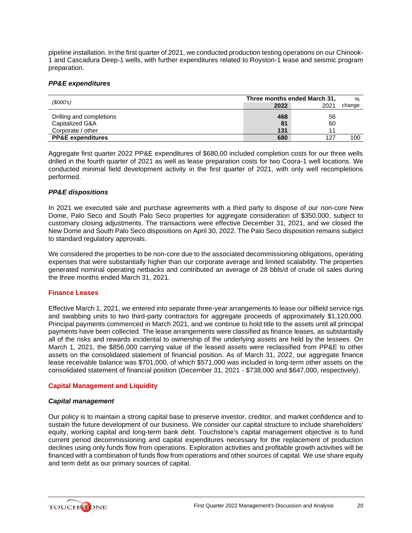pipeline installation. In the first quarter of 2021, we conducted production testing operations on our Chinook-1 and Cascadura Deep-1 wells, with further expenditures related to Royston-1 lease and seismic program preparation.

# *PP&E expenditures*

|                              | Three months ended March 31, |      | $\%$   |
|------------------------------|------------------------------|------|--------|
| (\$000's)                    | 2022                         | 2021 | change |
| Drilling and completions     | 468                          | 56   |        |
| Capitalized G&A              | 81                           | 60   |        |
| Corporate / other            | 131                          |      |        |
| <b>PP&amp;E expenditures</b> | 680                          | 127  | 100    |

Aggregate first quarter 2022 PP&E expenditures of \$680,00 included completion costs for our three wells drilled in the fourth quarter of 2021 as well as lease preparation costs for two Coora-1 well locations. We conducted minimal field development activity in the first quarter of 2021, with only well recompletions performed.

### *PP&E dispositions*

In 2021 we executed sale and purchase agreements with a third party to dispose of our non-core New Dome, Palo Seco and South Palo Seco properties for aggregate consideration of \$350,000, subject to customary closing adjustments. The transactions were effective December 31, 2021, and we closed the New Dome and South Palo Seco dispositions on April 30, 2022. The Palo Seco disposition remains subject to standard regulatory approvals.

We considered the properties to be non-core due to the associated decommissioning obligations, operating expenses that were substantially higher than our corporate average and limited scalability. The properties generated nominal operating netbacks and contributed an average of 28 bbls/d of crude oil sales during the three months ended March 31, 2021.

#### **Finance Leases**

Effective March 1, 2021, we entered into separate three-year arrangements to lease our oilfield service rigs and swabbing units to two third-party contractors for aggregate proceeds of approximately \$1,120,000. Principal payments commenced in March 2021, and we continue to hold title to the assets until all principal payments have been collected. The lease arrangements were classified as finance leases, as substantially all of the risks and rewards incidental to ownership of the underlying assets are held by the lessees. On March 1, 2021, the \$856,000 carrying value of the leased assets were reclassified from PP&E to other assets on the consolidated statement of financial position. As of March 31, 2022, our aggregate finance lease receivable balance was \$701,000, of which \$571,000 was included in long-term other assets on the consolidated statement of financial position (December 31, 2021 - \$738,000 and \$647,000, respectively).

# **Capital Management and Liquidity**

#### *Capital management*

Our policy is to maintain a strong capital base to preserve investor, creditor, and market confidence and to sustain the future development of our business. We consider our capital structure to include shareholders' equity, working capital and long-term bank debt. Touchstone's capital management objective is to fund current period decommissioning and capital expenditures necessary for the replacement of production declines using only funds flow from operations. Exploration activities and profitable growth activities will be financed with a combination of funds flow from operations and other sources of capital. We use share equity and term debt as our primary sources of capital.

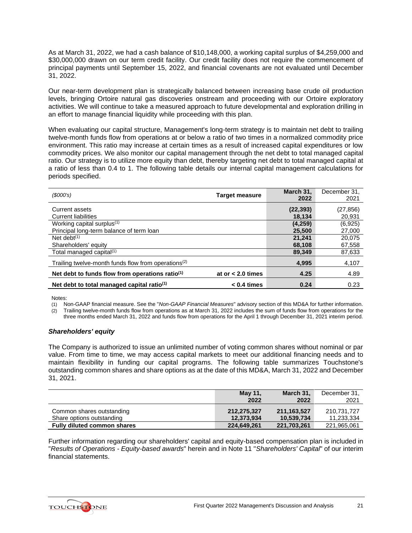As at March 31, 2022, we had a cash balance of \$10,148,000, a working capital surplus of \$4,259,000 and \$30,000,000 drawn on our term credit facility. Our credit facility does not require the commencement of principal payments until September 15, 2022, and financial covenants are not evaluated until December 31, 2022.

Our near-term development plan is strategically balanced between increasing base crude oil production levels, bringing Ortoire natural gas discoveries onstream and proceeding with our Ortoire exploratory activities. We will continue to take a measured approach to future developmental and exploration drilling in an effort to manage financial liquidity while proceeding with this plan.

When evaluating our capital structure, Management's long-term strategy is to maintain net debt to trailing twelve-month funds flow from operations at or below a ratio of two times in a normalized commodity price environment. This ratio may increase at certain times as a result of increased capital expenditures or low commodity prices. We also monitor our capital management through the net debt to total managed capital ratio. Our strategy is to utilize more equity than debt, thereby targeting net debt to total managed capital at a ratio of less than 0.4 to 1. The following table details our internal capital management calculations for periods specified.

| (S000's)                                                        | <b>Target measure</b> | March 31.<br>2022 | December 31,<br>2021 |
|-----------------------------------------------------------------|-----------------------|-------------------|----------------------|
| Current assets                                                  |                       | (22, 393)         | (27,856)             |
| <b>Current liabilities</b>                                      |                       | 18,134            | 20,931               |
| Working capital surplus <sup>(1)</sup>                          |                       | (4,259)           | (6,925)              |
| Principal long-term balance of term loan                        |                       | 25.500            | 27,000               |
| Net debt $(1)$                                                  |                       | 21,241            | 20.075               |
| Shareholders' equity                                            |                       | 68,108            | 67,558               |
| Total managed capital <sup>(1)</sup>                            |                       | 89,349            | 87,633               |
| Trailing twelve-month funds flow from operations <sup>(2)</sup> |                       | 4,995             | 4,107                |
| Net debt to funds flow from operations ratio <sup>(1)</sup>     | at or $< 2.0$ times   | 4.25              | 4.89                 |
| Net debt to total managed capital ratio <sup>(1)</sup>          | $< 0.4$ times         | 0.24              | 0.23                 |

Notes:

(1) Non-GAAP financial measure. See the "*Non-GAAP Financial Measures*" advisory section of this MD&A for further information. Trailing twelve-month funds flow from operations as at March 31, 2022 includes the sum of funds flow from operations for the three months ended March 31, 2022 and funds flow from operations for the April 1 through December 31, 2021 interim period.

# *Shareholders' equity*

The Company is authorized to issue an unlimited number of voting common shares without nominal or par value. From time to time, we may access capital markets to meet our additional financing needs and to maintain flexibility in funding our capital programs. The following table summarizes Touchstone's outstanding common shares and share options as at the date of this MD&A, March 31, 2022 and December 31, 2021.

|                                    | <b>May 11,</b> | March 31.   | December 31. |
|------------------------------------|----------------|-------------|--------------|
|                                    | 2022           | 2022        | 2021         |
| Common shares outstanding          | 212.275.327    | 211.163.527 | 210.731.727  |
| Share options outstanding          | 12.373.934     | 10.539.734  | 11,233,334   |
| <b>Fully diluted common shares</b> | 224,649,261    | 221,703,261 | 221,965,061  |

Further information regarding our shareholders' capital and equity-based compensation plan is included in "*Results of Operations - Equity-based awards*" herein and in Note 11 "*Shareholders' Capital*" of our interim financial statements.

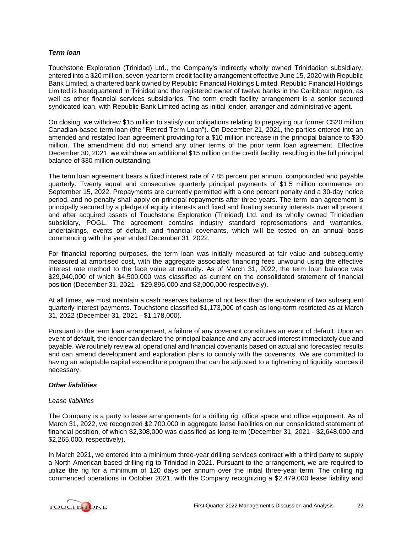# *Term loan*

Touchstone Exploration (Trinidad) Ltd., the Company's indirectly wholly owned Trinidadian subsidiary, entered into a \$20 million, seven-year term credit facility arrangement effective June 15, 2020 with Republic Bank Limited, a chartered bank owned by Republic Financial Holdings Limited. Republic Financial Holdings Limited is headquartered in Trinidad and the registered owner of twelve banks in the Caribbean region, as well as other financial services subsidiaries. The term credit facility arrangement is a senior secured syndicated loan, with Republic Bank Limited acting as initial lender, arranger and administrative agent.

On closing, we withdrew \$15 million to satisfy our obligations relating to prepaying our former C\$20 million Canadian-based term loan (the "Retired Term Loan"). On December 21, 2021, the parties entered into an amended and restated loan agreement providing for a \$10 million increase in the principal balance to \$30 million. The amendment did not amend any other terms of the prior term loan agreement. Effective December 30, 2021, we withdrew an additional \$15 million on the credit facility, resulting in the full principal balance of \$30 million outstanding.

The term loan agreement bears a fixed interest rate of 7.85 percent per annum, compounded and payable quarterly. Twenty equal and consecutive quarterly principal payments of \$1.5 million commence on September 15, 2022. Prepayments are currently permitted with a one percent penalty and a 30-day notice period, and no penalty shall apply on principal repayments after three years. The term loan agreement is principally secured by a pledge of equity interests and fixed and floating security interests over all present and after acquired assets of Touchstone Exploration (Trinidad) Ltd. and its wholly owned Trinidadian subsidiary, POGL. The agreement contains industry standard representations and warranties, undertakings, events of default, and financial covenants, which will be tested on an annual basis commencing with the year ended December 31, 2022.

For financial reporting purposes, the term loan was initially measured at fair value and subsequently measured at amortised cost, with the aggregate associated financing fees unwound using the effective interest rate method to the face value at maturity. As of March 31, 2022, the term loan balance was \$29,940,000 of which \$4,500,000 was classified as current on the consolidated statement of financial position (December 31, 2021 - \$29,896,000 and \$3,000,000 respectively).

At all times, we must maintain a cash reserves balance of not less than the equivalent of two subsequent quarterly interest payments. Touchstone classified \$1,173,000 of cash as long-term restricted as at March 31, 2022 (December 31, 2021 - \$1,178,000).

Pursuant to the term loan arrangement, a failure of any covenant constitutes an event of default. Upon an event of default, the lender can declare the principal balance and any accrued interest immediately due and payable. We routinely review all operational and financial covenants based on actual and forecasted results and can amend development and exploration plans to comply with the covenants. We are committed to having an adaptable capital expenditure program that can be adjusted to a tightening of liquidity sources if necessary.

#### *Other liabilities*

#### *Lease liabilities*

The Company is a party to lease arrangements for a drilling rig, office space and office equipment. As of March 31, 2022, we recognized \$2,700,000 in aggregate lease liabilities on our consolidated statement of financial position, of which \$2,308,000 was classified as long-term (December 31, 2021 - \$2,648,000 and \$2,265,000, respectively).

In March 2021, we entered into a minimum three-year drilling services contract with a third party to supply a North American based drilling rig to Trinidad in 2021. Pursuant to the arrangement, we are required to utilize the rig for a minimum of 120 days per annum over the initial three-year term. The drilling rig commenced operations in October 2021, with the Company recognizing a \$2,479,000 lease liability and

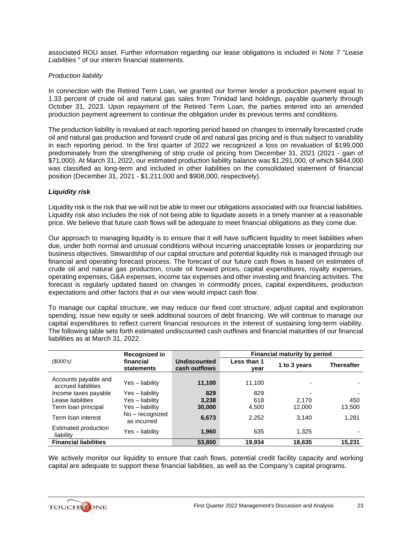associated ROU asset. Further information regarding our lease obligations is included in Note 7 "*Lease Liabilities* " of our interim financial statements.

# *Production liability*

In connection with the Retired Term Loan, we granted our former lender a production payment equal to 1.33 percent of crude oil and natural gas sales from Trinidad land holdings, payable quarterly through October 31, 2023. Upon repayment of the Retired Term Loan, the parties entered into an amended production payment agreement to continue the obligation under its previous terms and conditions.

The production liability is revalued at each reporting period based on changes to internally forecasted crude oil and natural gas production and forward crude oil and natural gas pricing and is thus subject to variability in each reporting period. In the first quarter of 2022 we recognized a loss on revaluation of \$199,000 predominately from the strengthening of strip crude oil pricing from December 31, 2021 (2021 - gain of \$71,000). At March 31, 2022, our estimated production liability balance was \$1,291,000, of which \$844,000 was classified as long-term and included in other liabilities on the consolidated statement of financial position (December 31, 2021 - \$1,211,000 and \$908,000, respectively).

### *Liquidity risk*

Liquidity risk is the risk that we will not be able to meet our obligations associated with our financial liabilities. Liquidity risk also includes the risk of not being able to liquidate assets in a timely manner at a reasonable price. We believe that future cash flows will be adequate to meet financial obligations as they come due.

Our approach to managing liquidity is to ensure that it will have sufficient liquidity to meet liabilities when due, under both normal and unusual conditions without incurring unacceptable losses or jeopardizing our business objectives. Stewardship of our capital structure and potential liquidity risk is managed through our financial and operating forecast process. The forecast of our future cash flows is based on estimates of crude oil and natural gas production, crude oil forward prices, capital expenditures, royalty expenses, operating expenses, G&A expenses, income tax expenses and other investing and financing activities. The forecast is regularly updated based on changes in commodity prices, capital expenditures, production expectations and other factors that in our view would impact cash flow.

To manage our capital structure, we may reduce our fixed cost structure, adjust capital and exploration spending, issue new equity or seek additional sources of debt financing. We will continue to manage our capital expenditures to reflect current financial resources in the interest of sustaining long-term viability. The following table sets forth estimated undiscounted cash outflows and financial maturities of our financial liabilities as at March 31, 2022.

|                                             | Recognized in                  |                               | <b>Financial maturity by period</b> |              |                   |
|---------------------------------------------|--------------------------------|-------------------------------|-------------------------------------|--------------|-------------------|
| (\$000's)                                   | financial<br>statements        | Undiscounted<br>cash outflows | Less than 1<br>vear                 | 1 to 3 years | <b>Thereafter</b> |
| Accounts payable and<br>accrued liabilities | Yes - liability                | 11,100                        | 11,100                              |              |                   |
| Income taxes payable                        | Yes - liability                | 829                           | 829                                 |              |                   |
| Lease liabilities                           | Yes - liability                | 3,238                         | 618                                 | 2.170        | 450               |
| Term loan principal                         | Yes - liability                | 30,000                        | 4,500                               | 12,000       | 13,500            |
| Term loan interest                          | No - recognized<br>as incurred | 6,673                         | 2,252                               | 3.140        | 1,281             |
| Estimated production<br>liability           | Yes – liability                | 1,960                         | 635                                 | 1.325        |                   |
| <b>Financial liabilities</b>                |                                | 53,800                        | 19.934                              | 18,635       | 15.231            |

We actively monitor our liquidity to ensure that cash flows, potential credit facility capacity and working capital are adequate to support these financial liabilities, as well as the Company's capital programs.

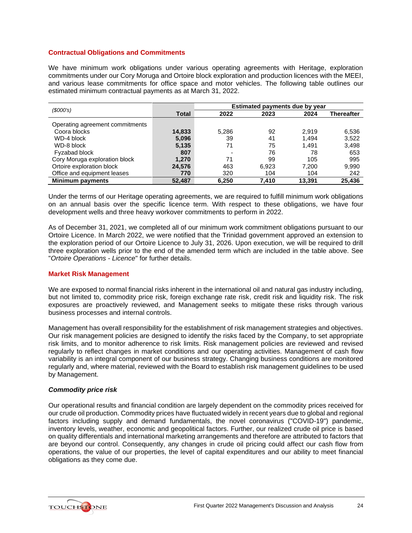# **Contractual Obligations and Commitments**

We have minimum work obligations under various operating agreements with Heritage, exploration commitments under our Cory Moruga and Ortoire block exploration and production licences with the MEEI, and various lease commitments for office space and motor vehicles. The following table outlines our estimated minimum contractual payments as at March 31, 2022.

| (\$000's)                       |        | Estimated payments due by year |       |        |                   |
|---------------------------------|--------|--------------------------------|-------|--------|-------------------|
|                                 | Total  | 2022                           | 2023  | 2024   | <b>Thereafter</b> |
| Operating agreement commitments |        |                                |       |        |                   |
| Coora blocks                    | 14,833 | 5,286                          | 92    | 2.919  | 6,536             |
| WD-4 block                      | 5,096  | 39                             | 41    | 1.494  | 3,522             |
| WD-8 block                      | 5,135  | 71                             | 75    | 1.491  | 3,498             |
| Fyzabad block                   | 807    | $\overline{\phantom{a}}$       | 76    | 78     | 653               |
| Cory Moruga exploration block   | 1,270  | 71                             | 99    | 105    | 995               |
| Ortoire exploration block       | 24,576 | 463                            | 6,923 | 7,200  | 9,990             |
| Office and equipment leases     | 770    | 320                            | 104   | 104    | 242               |
| <b>Minimum payments</b>         | 52.487 | 6.250                          | 7.410 | 13.391 | 25.436            |

Under the terms of our Heritage operating agreements, we are required to fulfill minimum work obligations on an annual basis over the specific licence term. With respect to these obligations, we have four development wells and three heavy workover commitments to perform in 2022.

As of December 31, 2021, we completed all of our minimum work commitment obligations pursuant to our Ortoire Licence. In March 2022, we were notified that the Trinidad government approved an extension to the exploration period of our Ortoire Licence to July 31, 2026. Upon execution, we will be required to drill three exploration wells prior to the end of the amended term which are included in the table above. See "*Ortoire Operations - Licence*" for further details.

# **Market Risk Management**

We are exposed to normal financial risks inherent in the international oil and natural gas industry including, but not limited to, commodity price risk, foreign exchange rate risk, credit risk and liquidity risk. The risk exposures are proactively reviewed, and Management seeks to mitigate these risks through various business processes and internal controls.

Management has overall responsibility for the establishment of risk management strategies and objectives. Our risk management policies are designed to identify the risks faced by the Company, to set appropriate risk limits, and to monitor adherence to risk limits. Risk management policies are reviewed and revised regularly to reflect changes in market conditions and our operating activities. Management of cash flow variability is an integral component of our business strategy. Changing business conditions are monitored regularly and, where material, reviewed with the Board to establish risk management guidelines to be used by Management.

# *Commodity price risk*

Our operational results and financial condition are largely dependent on the commodity prices received for our crude oil production. Commodity prices have fluctuated widely in recent years due to global and regional factors including supply and demand fundamentals, the novel coronavirus ("COVID-19") pandemic, inventory levels, weather, economic and geopolitical factors. Further, our realized crude oil price is based on quality differentials and international marketing arrangements and therefore are attributed to factors that are beyond our control. Consequently, any changes in crude oil pricing could affect our cash flow from operations, the value of our properties, the level of capital expenditures and our ability to meet financial obligations as they come due.

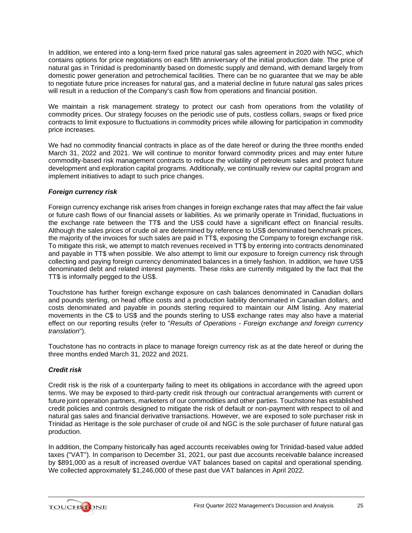In addition, we entered into a long-term fixed price natural gas sales agreement in 2020 with NGC, which contains options for price negotiations on each fifth anniversary of the initial production date. The price of natural gas in Trinidad is predominantly based on domestic supply and demand, with demand largely from domestic power generation and petrochemical facilities. There can be no guarantee that we may be able to negotiate future price increases for natural gas, and a material decline in future natural gas sales prices will result in a reduction of the Company's cash flow from operations and financial position.

We maintain a risk management strategy to protect our cash from operations from the volatility of commodity prices. Our strategy focuses on the periodic use of puts, costless collars, swaps or fixed price contracts to limit exposure to fluctuations in commodity prices while allowing for participation in commodity price increases.

We had no commodity financial contracts in place as of the date hereof or during the three months ended March 31, 2022 and 2021. We will continue to monitor forward commodity prices and may enter future commodity-based risk management contracts to reduce the volatility of petroleum sales and protect future development and exploration capital programs. Additionally, we continually review our capital program and implement initiatives to adapt to such price changes.

# *Foreign currency risk*

Foreign currency exchange risk arises from changes in foreign exchange rates that may affect the fair value or future cash flows of our financial assets or liabilities. As we primarily operate in Trinidad, fluctuations in the exchange rate between the TT\$ and the US\$ could have a significant effect on financial results. Although the sales prices of crude oil are determined by reference to US\$ denominated benchmark prices, the majority of the invoices for such sales are paid in TT\$, exposing the Company to foreign exchange risk. To mitigate this risk, we attempt to match revenues received in TT\$ by entering into contracts denominated and payable in TT\$ when possible. We also attempt to limit our exposure to foreign currency risk through collecting and paying foreign currency denominated balances in a timely fashion. In addition, we have US\$ denominated debt and related interest payments. These risks are currently mitigated by the fact that the TT\$ is informally pegged to the US\$.

Touchstone has further foreign exchange exposure on cash balances denominated in Canadian dollars and pounds sterling, on head office costs and a production liability denominated in Canadian dollars, and costs denominated and payable in pounds sterling required to maintain our AIM listing. Any material movements in the C\$ to US\$ and the pounds sterling to US\$ exchange rates may also have a material effect on our reporting results (refer to "*Results of Operations - Foreign exchange and foreign currency translation*").

Touchstone has no contracts in place to manage foreign currency risk as at the date hereof or during the three months ended March 31, 2022 and 2021.

# *Credit risk*

Credit risk is the risk of a counterparty failing to meet its obligations in accordance with the agreed upon terms. We may be exposed to third-party credit risk through our contractual arrangements with current or future joint operation partners, marketers of our commodities and other parties. Touchstone has established credit policies and controls designed to mitigate the risk of default or non-payment with respect to oil and natural gas sales and financial derivative transactions. However, we are exposed to sole purchaser risk in Trinidad as Heritage is the sole purchaser of crude oil and NGC is the sole purchaser of future natural gas production.

In addition, the Company historically has aged accounts receivables owing for Trinidad-based value added taxes ("VAT"). In comparison to December 31, 2021, our past due accounts receivable balance increased by \$891,000 as a result of increased overdue VAT balances based on capital and operational spending. We collected approximately \$1,246,000 of these past due VAT balances in April 2022.

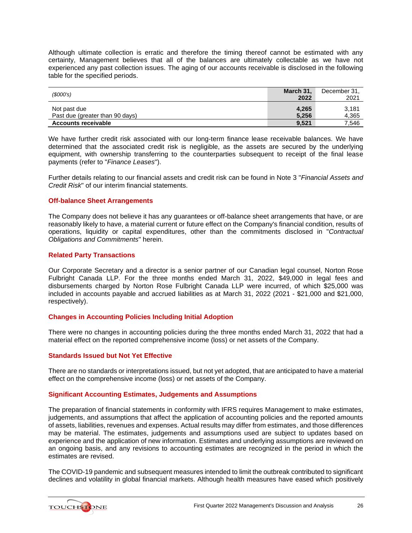Although ultimate collection is erratic and therefore the timing thereof cannot be estimated with any certainty, Management believes that all of the balances are ultimately collectable as we have not experienced any past collection issues. The aging of our accounts receivable is disclosed in the following table for the specified periods.

| (S000's)                        | March 31, | December 31. |
|---------------------------------|-----------|--------------|
|                                 | 2022      | 2021         |
| Not past due                    | 4,265     | 3.181        |
| Past due (greater than 90 days) | 5.256     | 4,365        |
| <b>Accounts receivable</b>      | 9,521     | 7,546        |

We have further credit risk associated with our long-term finance lease receivable balances. We have determined that the associated credit risk is negligible, as the assets are secured by the underlying equipment, with ownership transferring to the counterparties subsequent to receipt of the final lease payments (refer to "*Finance Leases*").

Further details relating to our financial assets and credit risk can be found in Note 3 "*Financial Assets and Credit Risk*" of our interim financial statements.

# **Off-balance Sheet Arrangements**

The Company does not believe it has any guarantees or off-balance sheet arrangements that have, or are reasonably likely to have, a material current or future effect on the Company's financial condition, results of operations, liquidity or capital expenditures, other than the commitments disclosed in "*Contractual Obligations and Commitments*" herein.

# **Related Party Transactions**

Our Corporate Secretary and a director is a senior partner of our Canadian legal counsel, Norton Rose Fulbright Canada LLP. For the three months ended March 31, 2022, \$49,000 in legal fees and disbursements charged by Norton Rose Fulbright Canada LLP were incurred, of which \$25,000 was included in accounts payable and accrued liabilities as at March 31, 2022 (2021 - \$21,000 and \$21,000, respectively).

# **Changes in Accounting Policies Including Initial Adoption**

There were no changes in accounting policies during the three months ended March 31, 2022 that had a material effect on the reported comprehensive income (loss) or net assets of the Company.

# **Standards Issued but Not Yet Effective**

There are no standards or interpretations issued, but not yet adopted, that are anticipated to have a material effect on the comprehensive income (loss) or net assets of the Company.

### **Significant Accounting Estimates, Judgements and Assumptions**

The preparation of financial statements in conformity with IFRS requires Management to make estimates, judgements, and assumptions that affect the application of accounting policies and the reported amounts of assets, liabilities, revenues and expenses. Actual results may differ from estimates, and those differences may be material. The estimates, judgements and assumptions used are subject to updates based on experience and the application of new information. Estimates and underlying assumptions are reviewed on an ongoing basis, and any revisions to accounting estimates are recognized in the period in which the estimates are revised.

The COVID-19 pandemic and subsequent measures intended to limit the outbreak contributed to significant declines and volatility in global financial markets. Although health measures have eased which positively

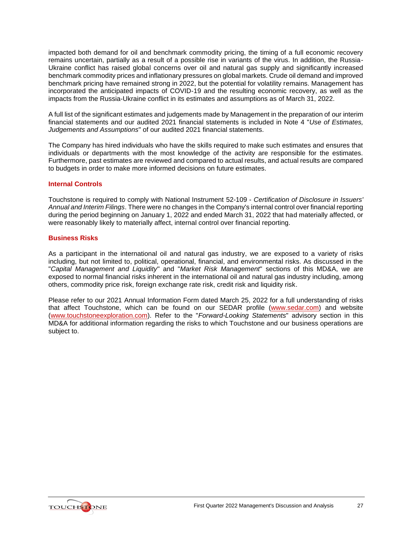impacted both demand for oil and benchmark commodity pricing, the timing of a full economic recovery remains uncertain, partially as a result of a possible rise in variants of the virus. In addition, the Russia-Ukraine conflict has raised global concerns over oil and natural gas supply and significantly increased benchmark commodity prices and inflationary pressures on global markets. Crude oil demand and improved benchmark pricing have remained strong in 2022, but the potential for volatility remains. Management has incorporated the anticipated impacts of COVID-19 and the resulting economic recovery, as well as the impacts from the Russia-Ukraine conflict in its estimates and assumptions as of March 31, 2022.

A full list of the significant estimates and judgements made by Management in the preparation of our interim financial statements and our audited 2021 financial statements is included in Note 4 "*Use of Estimates, Judgements and Assumptions*" of our audited 2021 financial statements.

The Company has hired individuals who have the skills required to make such estimates and ensures that individuals or departments with the most knowledge of the activity are responsible for the estimates. Furthermore, past estimates are reviewed and compared to actual results, and actual results are compared to budgets in order to make more informed decisions on future estimates.

# **Internal Controls**

Touchstone is required to comply with National Instrument 52-109 - *Certification of Disclosure in Issuers' Annual and Interim Filings*. There were no changes in the Company's internal control over financial reporting during the period beginning on January 1, 2022 and ended March 31, 2022 that had materially affected, or were reasonably likely to materially affect, internal control over financial reporting.

# **Business Risks**

As a participant in the international oil and natural gas industry, we are exposed to a variety of risks including, but not limited to, political, operational, financial, and environmental risks. As discussed in the "*Capital Management and Liquidity*" and "*Market Risk Management*" sections of this MD&A, we are exposed to normal financial risks inherent in the international oil and natural gas industry including, among others, commodity price risk, foreign exchange rate risk, credit risk and liquidity risk.

Please refer to our 2021 Annual Information Form dated March 25, 2022 for a full understanding of risks that affect Touchstone, which can be found on our SEDAR profile [\(www.sedar.com\)](http://www.sedar.com/) and website [\(www.touchstoneexploration.com\)](http://www.touchstoneexploration.com/). Refer to the "*Forward-Looking Statements*" advisory section in this MD&A for additional information regarding the risks to which Touchstone and our business operations are subject to.

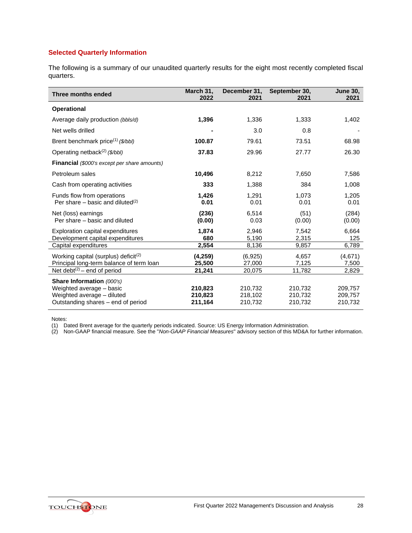# **Selected Quarterly Information**

The following is a summary of our unaudited quarterly results for the eight most recently completed fiscal quarters.

| Three months ended                                                                           | March 31,<br>2022  | December 31,<br>2021 | September 30,<br>2021 | <b>June 30,</b><br>2021 |
|----------------------------------------------------------------------------------------------|--------------------|----------------------|-----------------------|-------------------------|
| <b>Operational</b>                                                                           |                    |                      |                       |                         |
| Average daily production (bbls/d)                                                            | 1,396              | 1,336                | 1,333                 | 1,402                   |
| Net wells drilled                                                                            |                    | 3.0                  | 0.8                   |                         |
| Brent benchmark price <sup>(1)</sup> (\$/bbl)                                                | 100.87             | 79.61                | 73.51                 | 68.98                   |
| Operating netback <sup>(2)</sup> (\$/bbl)                                                    | 37.83              | 29.96                | 27.77                 | 26.30                   |
| <b>Financial</b> (\$000's except per share amounts)                                          |                    |                      |                       |                         |
| Petroleum sales                                                                              | 10,496             | 8,212                | 7,650                 | 7,586                   |
| Cash from operating activities                                                               | 333                | 1,388                | 384                   | 1,008                   |
| Funds flow from operations<br>Per share – basic and diluted $(2)$                            | 1,426<br>0.01      | 1,291<br>0.01        | 1,073<br>0.01         | 1,205<br>0.01           |
| Net (loss) earnings<br>Per share – basic and diluted                                         | (236)<br>(0.00)    | 6,514<br>0.03        | (51)<br>(0.00)        | (284)<br>(0.00)         |
| Exploration capital expenditures<br>Development capital expenditures                         | 1,874<br>680       | 2,946<br>5,190       | 7,542<br>2,315        | 6,664<br>125            |
| Capital expenditures                                                                         | 2,554              | 8,136                | 9,857                 | 6,789                   |
| Working capital (surplus) deficit <sup>(2)</sup><br>Principal long-term balance of term loan | (4,259)<br>25,500  | (6,925)<br>27,000    | 4,657<br>7,125        | (4,671)<br>7,500        |
| Net debt <sup>(2)</sup> – end of period                                                      | 21,241             | 20,075               | 11,782                | 2,829                   |
| Share Information (000's)                                                                    |                    |                      |                       |                         |
| Weighted average - basic                                                                     | 210,823            | 210,732              | 210,732               | 209,757                 |
| Weighted average - diluted<br>Outstanding shares – end of period                             | 210,823<br>211,164 | 218,102<br>210,732   | 210,732<br>210,732    | 209,757<br>210,732      |

Notes:

(1) Dated Brent average for the quarterly periods indicated. Source: US Energy Information Administration.

(2) Non-GAAP financial measure. See the "*Non-GAAP Financial Measures*" advisory section of this MD&A for further information.

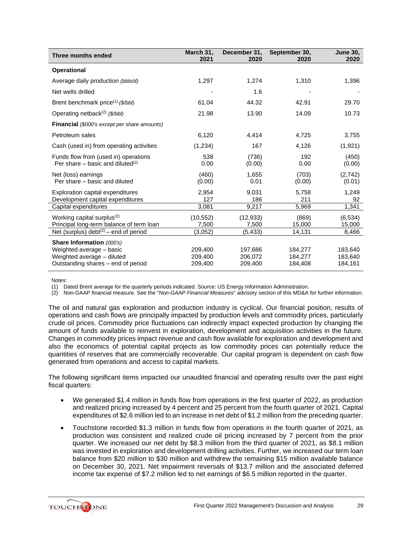| Three months ended                                                                  | March 31,<br>2021  | December 31,<br>2020 | September 30,<br>2020 | <b>June 30,</b><br>2020 |
|-------------------------------------------------------------------------------------|--------------------|----------------------|-----------------------|-------------------------|
| <b>Operational</b>                                                                  |                    |                      |                       |                         |
| Average daily production (bbls/d)                                                   | 1,297              | 1,274                | 1,310                 | 1,396                   |
| Net wells drilled                                                                   |                    | 1.6                  |                       |                         |
| Brent benchmark price <sup>(1)</sup> (\$/bbl)                                       | 61.04              | 44.32                | 42.91                 | 29.70                   |
| Operating netback <sup>(2)</sup> (\$/bbl)                                           | 21.98              | 13.90                | 14.09                 | 10.73                   |
| <b>Financial</b> (\$000's except per share amounts)                                 |                    |                      |                       |                         |
| Petroleum sales                                                                     | 6,120              | 4,414                | 4,725                 | 3,755                   |
| Cash (used in) from operating activities                                            | (1,234)            | 167                  | 4,126                 | (1,921)                 |
| Funds flow from (used in) operations<br>Per share – basic and diluted $(2)$         | 538<br>0.00        | (736)<br>(0.00)      | 192<br>0.00           | (450)<br>(0.00)         |
| Net (loss) earnings<br>Per share – basic and diluted                                | (460)<br>(0.00)    | 1,655<br>0.01        | (703)<br>(0.00)       | (2,742)<br>(0.01)       |
| Exploration capital expenditures<br>Development capital expenditures                | 2,954<br>127       | 9,031<br>186         | 5,758<br>211          | 1,249<br>92             |
| Capital expenditures                                                                | 3,081              | 9,217                | 5,969                 | 1,341                   |
| Working capital surplus <sup>(2)</sup><br>Principal long-term balance of term loan  | (10, 552)<br>7,500 | (12, 933)<br>7,500   | (869)<br>15,000       | (6, 534)<br>15,000      |
| Net (surplus) debt <sup>(2)</sup> – end of period                                   | (3,052)            | (5, 433)             | 14,131                | 8,466                   |
| Share Information (000's)<br>Weighted average - basic<br>Weighted average - diluted | 209.400<br>209,400 | 197,686<br>206,072   | 184,277<br>184,277    | 183.640<br>183,640      |
| Outstanding shares – end of period                                                  | 209,400            | 209,400              | 184,408               | 184,161                 |

Notes:

(1) Dated Brent average for the quarterly periods indicated. Source: US Energy Information Administration.

(2) Non-GAAP financial measure. See the "*Non-GAAP Financial Measures*" advisory section of this MD&A for further information.

The oil and natural gas exploration and production industry is cyclical. Our financial position, results of operations and cash flows are principally impacted by production levels and commodity prices, particularly crude oil prices. Commodity price fluctuations can indirectly impact expected production by changing the amount of funds available to reinvest in exploration, development and acquisition activities in the future. Changes in commodity prices impact revenue and cash flow available for exploration and development and also the economics of potential capital projects as low commodity prices can potentially reduce the quantities of reserves that are commercially recoverable. Our capital program is dependent on cash flow generated from operations and access to capital markets.

The following significant items impacted our unaudited financial and operating results over the past eight fiscal quarters:

- We generated \$1.4 million in funds flow from operations in the first quarter of 2022, as production and realized pricing increased by 4 percent and 25 percent from the fourth quarter of 2021. Capital expenditures of \$2.6 million led to an increase in net debt of \$1.2 million from the preceding quarter.
- Touchstone recorded \$1.3 million in funds flow from operations in the fourth quarter of 2021, as production was consistent and realized crude oil pricing increased by 7 percent from the prior quarter. We increased our net debt by \$8.3 million from the third quarter of 2021, as \$8.1 million was invested in exploration and development drilling activities. Further, we increased our term loan balance from \$20 million to \$30 million and withdrew the remaining \$15 million available balance on December 30, 2021. Net impairment reversals of \$13.7 million and the associated deferred income tax expense of \$7.2 million led to net earnings of \$6.5 million reported in the quarter.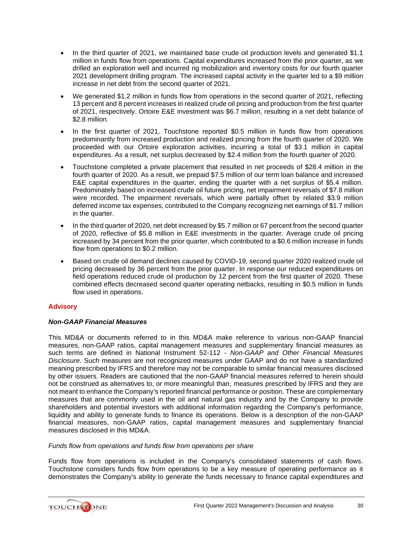- In the third quarter of 2021, we maintained base crude oil production levels and generated \$1.1 million in funds flow from operations. Capital expenditures increased from the prior quarter, as we drilled an exploration well and incurred rig mobilization and inventory costs for our fourth quarter 2021 development drilling program. The increased capital activity in the quarter led to a \$9 million increase in net debt from the second quarter of 2021.
- We generated \$1.2 million in funds flow from operations in the second quarter of 2021, reflecting 13 percent and 8 percent increases in realized crude oil pricing and production from the first quarter of 2021, respectively. Ortoire E&E investment was \$6.7 million, resulting in a net debt balance of \$2.8 million.
- In the first quarter of 2021, Touchstone reported \$0.5 million in funds flow from operations predominantly from increased production and realized pricing from the fourth quarter of 2020. We proceeded with our Ortoire exploration activities, incurring a total of \$3.1 million in capital expenditures. As a result, net surplus decreased by \$2.4 million from the fourth quarter of 2020.
- Touchstone completed a private placement that resulted in net proceeds of \$28.4 million in the fourth quarter of 2020. As a result, we prepaid \$7.5 million of our term loan balance and increased E&E capital expenditures in the quarter, ending the quarter with a net surplus of \$5.4 million. Predominately based on increased crude oil future pricing, net impairment reversals of \$7.8 million were recorded. The impairment reversals, which were partially offset by related \$3.9 million deferred income tax expenses, contributed to the Company recognizing net earnings of \$1.7 million in the quarter.
- In the third quarter of 2020, net debt increased by \$5.7 million or 67 percent from the second quarter of 2020, reflective of \$5.8 million in E&E investments in the quarter. Average crude oil pricing increased by 34 percent from the prior quarter, which contributed to a \$0.6 million increase in funds flow from operations to \$0.2 million.
- Based on crude oil demand declines caused by COVID-19, second quarter 2020 realized crude oil pricing decreased by 36 percent from the prior quarter. In response our reduced expenditures on field operations reduced crude oil production by 12 percent from the first quarter of 2020. These combined effects decreased second quarter operating netbacks, resulting in \$0.5 million in funds flow used in operations.

# **Advisory**

# *Non-GAAP Financial Measures*

This MD&A or documents referred to in this MD&A make reference to various non-GAAP financial measures, non-GAAP ratios, capital management measures and supplementary financial measures as such terms are defined in National Instrument 52-112 - *Non-GAAP and Other Financial Measures Disclosure*. Such measures are not recognized measures under GAAP and do not have a standardized meaning prescribed by IFRS and therefore may not be comparable to similar financial measures disclosed by other issuers. Readers are cautioned that the non-GAAP financial measures referred to herein should not be construed as alternatives to, or more meaningful than, measures prescribed by IFRS and they are not meant to enhance the Company's reported financial performance or position. These are complementary measures that are commonly used in the oil and natural gas industry and by the Company to provide shareholders and potential investors with additional information regarding the Company's performance, liquidity and ability to generate funds to finance its operations. Below is a description of the non-GAAP financial measures, non-GAAP ratios, capital management measures and supplementary financial measures disclosed in this MD&A.

# *Funds flow from operations and funds flow from operations per share*

Funds flow from operations is included in the Company's consolidated statements of cash flows. Touchstone considers funds flow from operations to be a key measure of operating performance as it demonstrates the Company's ability to generate the funds necessary to finance capital expenditures and

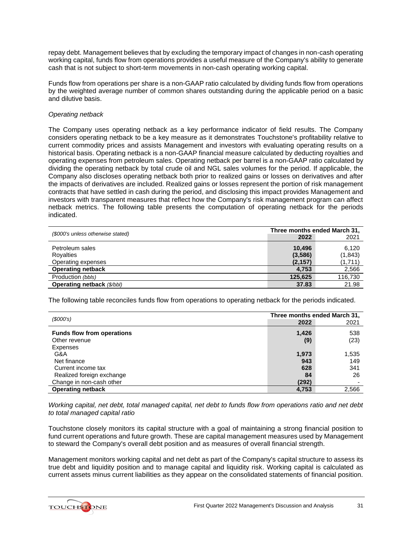repay debt. Management believes that by excluding the temporary impact of changes in non-cash operating working capital, funds flow from operations provides a useful measure of the Company's ability to generate cash that is not subject to short-term movements in non-cash operating working capital.

Funds flow from operations per share is a non-GAAP ratio calculated by dividing funds flow from operations by the weighted average number of common shares outstanding during the applicable period on a basic and dilutive basis.

# *Operating netback*

The Company uses operating netback as a key performance indicator of field results. The Company considers operating netback to be a key measure as it demonstrates Touchstone's profitability relative to current commodity prices and assists Management and investors with evaluating operating results on a historical basis. Operating netback is a non-GAAP financial measure calculated by deducting royalties and operating expenses from petroleum sales. Operating netback per barrel is a non-GAAP ratio calculated by dividing the operating netback by total crude oil and NGL sales volumes for the period. If applicable, the Company also discloses operating netback both prior to realized gains or losses on derivatives and after the impacts of derivatives are included. Realized gains or losses represent the portion of risk management contracts that have settled in cash during the period, and disclosing this impact provides Management and investors with transparent measures that reflect how the Company's risk management program can affect netback metrics. The following table presents the computation of operating netback for the periods indicated.

| (\$000's unless otherwise stated) | Three months ended March 31, |          |  |
|-----------------------------------|------------------------------|----------|--|
|                                   | 2022                         | 2021     |  |
| Petroleum sales                   | 10.496                       | 6,120    |  |
| Royalties                         | (3,586)                      | (1, 843) |  |
| Operating expenses                | (2, 157)                     | (1,711)  |  |
| <b>Operating netback</b>          | 4.753                        | 2,566    |  |
| Production (bbls)                 | 125,625                      | 116,730  |  |
| <b>Operating netback</b> (\$/bbl) | 37.83                        | 21.98    |  |

The following table reconciles funds flow from operations to operating netback for the periods indicated.

|                                   | Three months ended March 31, |       |
|-----------------------------------|------------------------------|-------|
| (\$000's)                         | 2022                         | 2021  |
| <b>Funds flow from operations</b> | 1,426                        | 538   |
| Other revenue                     | (9)                          | (23)  |
| <b>Expenses</b>                   |                              |       |
| G&A                               | 1,973                        | 1,535 |
| Net finance                       | 943                          | 149   |
| Current income tax                | 628                          | 341   |
| Realized foreign exchange         | 84                           | 26    |
| Change in non-cash other          | (292)                        |       |
| <b>Operating netback</b>          | 4,753                        | 2,566 |

*Working capital, net debt, total managed capital, net debt to funds flow from operations ratio and net debt to total managed capital ratio*

Touchstone closely monitors its capital structure with a goal of maintaining a strong financial position to fund current operations and future growth. These are capital management measures used by Management to steward the Company's overall debt position and as measures of overall financial strength.

Management monitors working capital and net debt as part of the Company's capital structure to assess its true debt and liquidity position and to manage capital and liquidity risk. Working capital is calculated as current assets minus current liabilities as they appear on the consolidated statements of financial position.

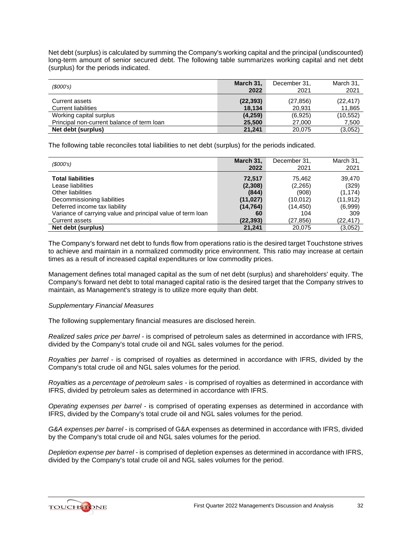Net debt (surplus) is calculated by summing the Company's working capital and the principal (undiscounted) long-term amount of senior secured debt. The following table summarizes working capital and net debt (surplus) for the periods indicated.

| (\$000's)                                  | March 31,<br>2022 | December 31,<br>2021 | March 31,<br>2021 |
|--------------------------------------------|-------------------|----------------------|-------------------|
|                                            |                   |                      |                   |
| Current assets                             | (22, 393)         | (27, 856)            | (22, 417)         |
| <b>Current liabilities</b>                 | 18,134            | 20,931               | 11,865            |
| Working capital surplus                    | (4,259)           | (6,925)              | (10, 552)         |
| Principal non-current balance of term loan | 25.500            | 27,000               | 7,500             |
| Net debt (surplus)                         | 21.241            | 20.075               | (3,052)           |

The following table reconciles total liabilities to net debt (surplus) for the periods indicated.

| (S000's)                                                    | March 31, | December 31, | March 31, |
|-------------------------------------------------------------|-----------|--------------|-----------|
|                                                             | 2022      | 2021         | 2021      |
| <b>Total liabilities</b>                                    | 72,517    | 75,462       | 39.470    |
| Lease liabilities                                           | (2,308)   | (2,265)      | (329)     |
| Other liabilities                                           | (844)     | (908)        | (1, 174)  |
| Decommissioning liabilities                                 | (11, 027) | (10, 012)    | (11, 912) |
| Deferred income tax liability                               | (14, 764) | (14, 450)    | (6,999)   |
| Variance of carrying value and principal value of term loan | 60        | 104          | 309       |
| Current assets                                              | (22, 393) | (27, 856)    | (22,417)  |
| Net debt (surplus)                                          | 21.241    | 20.075       | (3,052)   |

The Company's forward net debt to funds flow from operations ratio is the desired target Touchstone strives to achieve and maintain in a normalized commodity price environment. This ratio may increase at certain times as a result of increased capital expenditures or low commodity prices.

Management defines total managed capital as the sum of net debt (surplus) and shareholders' equity. The Company's forward net debt to total managed capital ratio is the desired target that the Company strives to maintain, as Management's strategy is to utilize more equity than debt.

#### *Supplementary Financial Measures*

The following supplementary financial measures are disclosed herein.

*Realized sales price per barrel* - is comprised of petroleum sales as determined in accordance with IFRS, divided by the Company's total crude oil and NGL sales volumes for the period.

*Royalties per barrel* - is comprised of royalties as determined in accordance with IFRS, divided by the Company's total crude oil and NGL sales volumes for the period.

*Royalties as a percentage of petroleum sales* - is comprised of royalties as determined in accordance with IFRS, divided by petroleum sales as determined in accordance with IFRS.

*Operating expenses per barrel* - is comprised of operating expenses as determined in accordance with IFRS, divided by the Company's total crude oil and NGL sales volumes for the period.

*G&A expenses per barrel* - is comprised of G&A expenses as determined in accordance with IFRS, divided by the Company's total crude oil and NGL sales volumes for the period.

*Depletion expense per barrel -* is comprised of depletion expenses as determined in accordance with IFRS, divided by the Company's total crude oil and NGL sales volumes for the period.

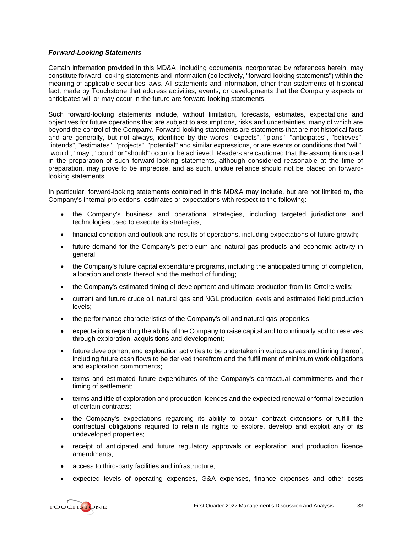# *Forward-Looking Statements*

Certain information provided in this MD&A, including documents incorporated by references herein, may constitute forward-looking statements and information (collectively, "forward-looking statements") within the meaning of applicable securities laws. All statements and information, other than statements of historical fact, made by Touchstone that address activities, events, or developments that the Company expects or anticipates will or may occur in the future are forward-looking statements.

Such forward-looking statements include, without limitation, forecasts, estimates, expectations and objectives for future operations that are subject to assumptions, risks and uncertainties, many of which are beyond the control of the Company. Forward-looking statements are statements that are not historical facts and are generally, but not always, identified by the words "expects", "plans", "anticipates", "believes", "intends", "estimates", "projects", "potential" and similar expressions, or are events or conditions that "will", "would", "may", "could" or "should" occur or be achieved. Readers are cautioned that the assumptions used in the preparation of such forward-looking statements, although considered reasonable at the time of preparation, may prove to be imprecise, and as such, undue reliance should not be placed on forwardlooking statements.

In particular, forward-looking statements contained in this MD&A may include, but are not limited to, the Company's internal projections, estimates or expectations with respect to the following:

- the Company's business and operational strategies, including targeted jurisdictions and technologies used to execute its strategies;
- financial condition and outlook and results of operations, including expectations of future growth;
- future demand for the Company's petroleum and natural gas products and economic activity in general;
- the Company's future capital expenditure programs, including the anticipated timing of completion, allocation and costs thereof and the method of funding;
- the Company's estimated timing of development and ultimate production from its Ortoire wells;
- current and future crude oil, natural gas and NGL production levels and estimated field production levels;
- the performance characteristics of the Company's oil and natural gas properties;
- expectations regarding the ability of the Company to raise capital and to continually add to reserves through exploration, acquisitions and development;
- future development and exploration activities to be undertaken in various areas and timing thereof, including future cash flows to be derived therefrom and the fulfillment of minimum work obligations and exploration commitments;
- terms and estimated future expenditures of the Company's contractual commitments and their timing of settlement;
- terms and title of exploration and production licences and the expected renewal or formal execution of certain contracts;
- the Company's expectations regarding its ability to obtain contract extensions or fulfill the contractual obligations required to retain its rights to explore, develop and exploit any of its undeveloped properties;
- receipt of anticipated and future regulatory approvals or exploration and production licence amendments;
- access to third-party facilities and infrastructure;
- expected levels of operating expenses, G&A expenses, finance expenses and other costs

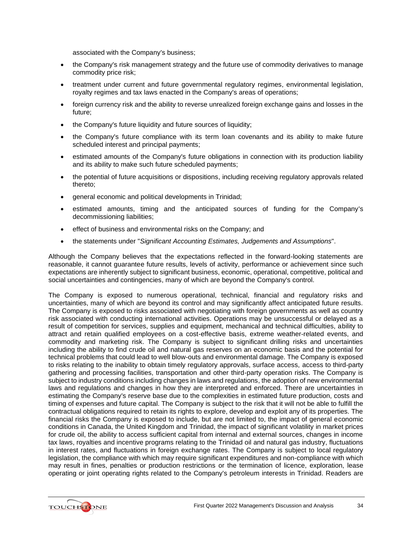associated with the Company's business;

- the Company's risk management strategy and the future use of commodity derivatives to manage commodity price risk;
- treatment under current and future governmental regulatory regimes, environmental legislation, royalty regimes and tax laws enacted in the Company's areas of operations;
- foreign currency risk and the ability to reverse unrealized foreign exchange gains and losses in the future;
- the Company's future liquidity and future sources of liquidity;
- the Company's future compliance with its term loan covenants and its ability to make future scheduled interest and principal payments;
- estimated amounts of the Company's future obligations in connection with its production liability and its ability to make such future scheduled payments;
- the potential of future acquisitions or dispositions, including receiving regulatory approvals related thereto;
- general economic and political developments in Trinidad;
- estimated amounts, timing and the anticipated sources of funding for the Company's decommissioning liabilities;
- effect of business and environmental risks on the Company; and
- the statements under "*Significant Accounting Estimates, Judgements and Assumptions*".

Although the Company believes that the expectations reflected in the forward-looking statements are reasonable, it cannot guarantee future results, levels of activity, performance or achievement since such expectations are inherently subject to significant business, economic, operational, competitive, political and social uncertainties and contingencies, many of which are beyond the Company's control.

The Company is exposed to numerous operational, technical, financial and regulatory risks and uncertainties, many of which are beyond its control and may significantly affect anticipated future results. The Company is exposed to risks associated with negotiating with foreign governments as well as country risk associated with conducting international activities. Operations may be unsuccessful or delayed as a result of competition for services, supplies and equipment, mechanical and technical difficulties, ability to attract and retain qualified employees on a cost-effective basis, extreme weather-related events, and commodity and marketing risk. The Company is subject to significant drilling risks and uncertainties including the ability to find crude oil and natural gas reserves on an economic basis and the potential for technical problems that could lead to well blow-outs and environmental damage. The Company is exposed to risks relating to the inability to obtain timely regulatory approvals, surface access, access to third-party gathering and processing facilities, transportation and other third-party operation risks. The Company is subject to industry conditions including changes in laws and regulations, the adoption of new environmental laws and regulations and changes in how they are interpreted and enforced. There are uncertainties in estimating the Company's reserve base due to the complexities in estimated future production, costs and timing of expenses and future capital. The Company is subject to the risk that it will not be able to fulfill the contractual obligations required to retain its rights to explore, develop and exploit any of its properties. The financial risks the Company is exposed to include, but are not limited to, the impact of general economic conditions in Canada, the United Kingdom and Trinidad, the impact of significant volatility in market prices for crude oil, the ability to access sufficient capital from internal and external sources, changes in income tax laws, royalties and incentive programs relating to the Trinidad oil and natural gas industry, fluctuations in interest rates, and fluctuations in foreign exchange rates. The Company is subject to local regulatory legislation, the compliance with which may require significant expenditures and non-compliance with which may result in fines, penalties or production restrictions or the termination of licence, exploration, lease operating or joint operating rights related to the Company's petroleum interests in Trinidad. Readers are

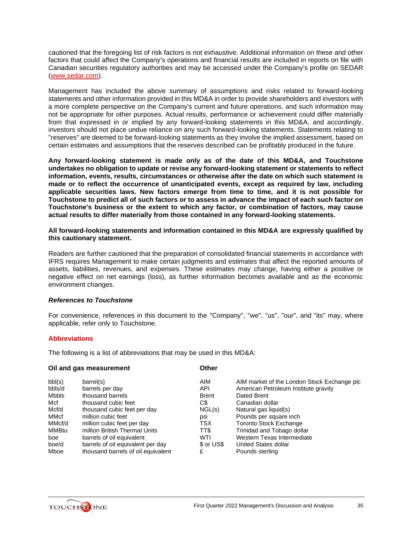cautioned that the foregoing list of risk factors is not exhaustive. Additional information on these and other factors that could affect the Company's operations and financial results are included in reports on file with Canadian securities regulatory authorities and may be accessed under the Company's profile on SEDAR [\(www.sedar.com\)](http://www.sedar.com/).

Management has included the above summary of assumptions and risks related to forward-looking statements and other information provided in this MD&A in order to provide shareholders and investors with a more complete perspective on the Company's current and future operations, and such information may not be appropriate for other purposes. Actual results, performance or achievement could differ materially from that expressed in or implied by any forward-looking statements in this MD&A, and accordingly, investors should not place undue reliance on any such forward-looking statements. Statements relating to "reserves" are deemed to be forward-looking statements as they involve the implied assessment, based on certain estimates and assumptions that the reserves described can be profitably produced in the future.

**Any forward-looking statement is made only as of the date of this MD&A, and Touchstone undertakes no obligation to update or revise any forward-looking statement or statements to reflect information, events, results, circumstances or otherwise after the date on which such statement is made or to reflect the occurrence of unanticipated events, except as required by law, including applicable securities laws. New factors emerge from time to time, and it is not possible for Touchstone to predict all of such factors or to assess in advance the impact of each such factor on Touchstone's business or the extent to which any factor, or combination of factors, may cause actual results to differ materially from those contained in any forward-looking statements.**

**All forward-looking statements and information contained in this MD&A are expressly qualified by this cautionary statement.**

Readers are further cautioned that the preparation of consolidated financial statements in accordance with IFRS requires Management to make certain judgments and estimates that affect the reported amounts of assets, liabilities, revenues, and expenses. These estimates may change, having either a positive or negative effect on net earnings (loss), as further information becomes available and as the economic environment changes.

# *References to Touchstone*

For convenience, references in this document to the "Company", "we", "us", "our", and "its" may, where applicable, refer only to Touchstone.

# **Abbreviations**

The following is a list of abbreviations that may be used in this MD&A:

#### **Oil and gas measurement C**

| bbl(s)       | barrel(s)                          | AIM          | AIM market of the London Stock Exchange plc |
|--------------|------------------------------------|--------------|---------------------------------------------|
| bbls/d       | barrels per day                    | API          | American Petroleum Institute gravity        |
| <b>Mbbls</b> | thousand barrels                   | <b>Brent</b> | Dated Brent                                 |
| Mcf          | thousand cubic feet                | C\$          | Canadian dollar                             |
| Mcf/d        | thousand cubic feet per day        | NGL(s)       | Natural gas liquid(s)                       |
| MMcf         | million cubic feet                 | psi          | Pounds per square inch                      |
| MMcf/d       | million cubic feet per day         | TSX          | <b>Toronto Stock Exchange</b>               |
| MMBtu        | million British Thermal Units      | TT\$         | Trinidad and Tobago dollar                  |
| boe          | barrels of oil equivalent          | WTI          | Western Texas Intermediate                  |
| boe/d        | barrels of oil equivalent per day  | \$ or US\$   | United States dollar                        |
| Mboe         | thousand barrels of oil equivalent | £            | Pounds sterling                             |